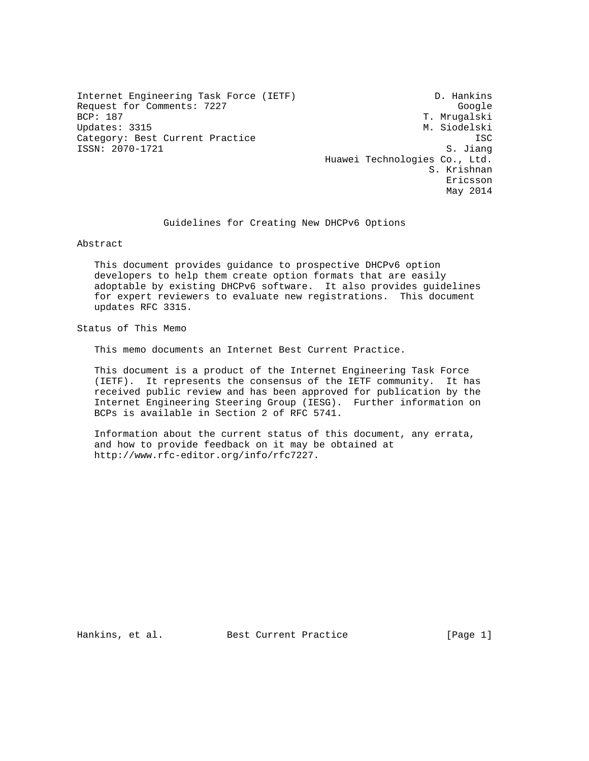Internet Engineering Task Force (IETF) D. Hankins Request for Comments: 7227 Google<br>BCP: 187 Google BCP: 187 Updates: 3315 M. Siodelski Category: Best Current Practice **ISC** ISSN: 2070-1721 S. Jiang

T. Mrugalski Huawei Technologies Co., Ltd. S. Krishnan Ericsson May 2014

Guidelines for Creating New DHCPv6 Options

Abstract

 This document provides guidance to prospective DHCPv6 option developers to help them create option formats that are easily adoptable by existing DHCPv6 software. It also provides guidelines for expert reviewers to evaluate new registrations. This document updates RFC 3315.

Status of This Memo

This memo documents an Internet Best Current Practice.

 This document is a product of the Internet Engineering Task Force (IETF). It represents the consensus of the IETF community. It has received public review and has been approved for publication by the Internet Engineering Steering Group (IESG). Further information on BCPs is available in Section 2 of RFC 5741.

 Information about the current status of this document, any errata, and how to provide feedback on it may be obtained at http://www.rfc-editor.org/info/rfc7227.

Hankins, et al. Best Current Practice [Page 1]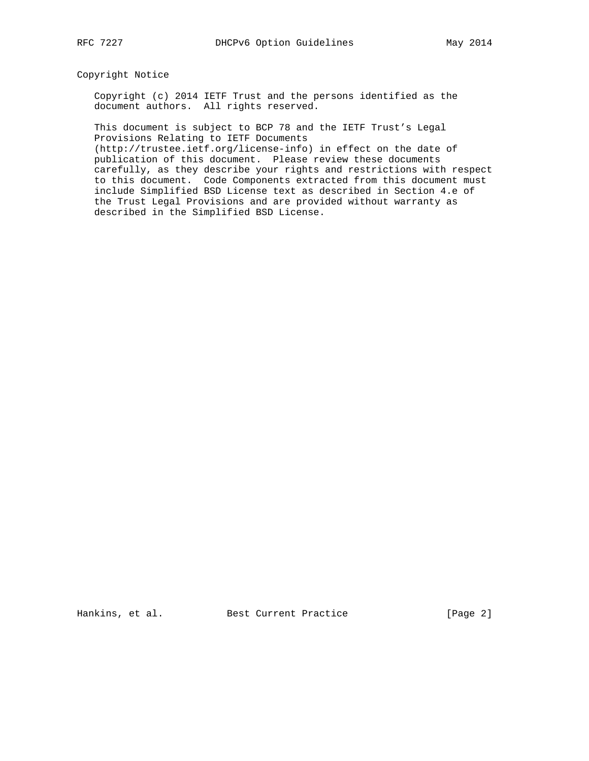### Copyright Notice

 Copyright (c) 2014 IETF Trust and the persons identified as the document authors. All rights reserved.

 This document is subject to BCP 78 and the IETF Trust's Legal Provisions Relating to IETF Documents

 (http://trustee.ietf.org/license-info) in effect on the date of publication of this document. Please review these documents carefully, as they describe your rights and restrictions with respect to this document. Code Components extracted from this document must include Simplified BSD License text as described in Section 4.e of the Trust Legal Provisions and are provided without warranty as described in the Simplified BSD License.

Hankins, et al. Best Current Practice [Page 2]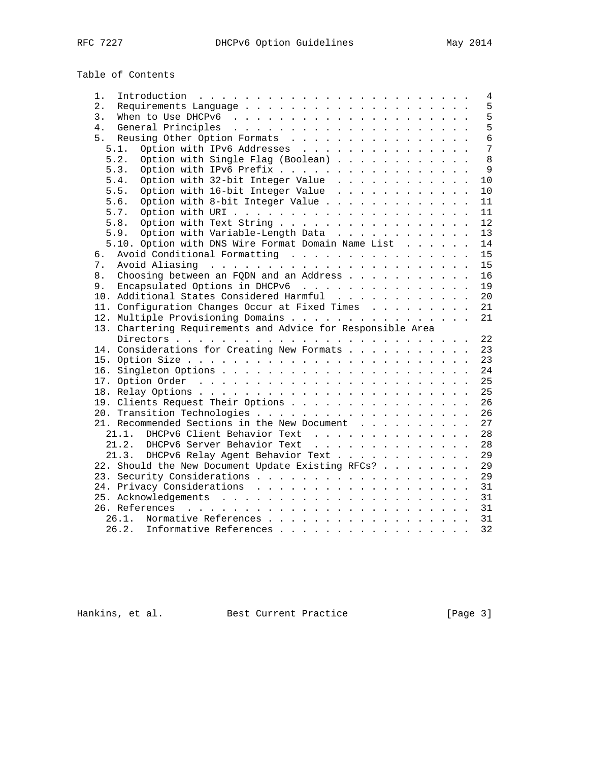| Table of Contents |
|-------------------|
|-------------------|

| 1.    | Introduction $\ldots \ldots \ldots \ldots \ldots \ldots \ldots \ldots \ldots$ |  |  | 4   |
|-------|-------------------------------------------------------------------------------|--|--|-----|
| $2$ . |                                                                               |  |  | 5   |
| 3.    |                                                                               |  |  | 5   |
| 4.    |                                                                               |  |  | 5   |
| 5.    | Reusing Other Option Formats                                                  |  |  | 6   |
|       | Option with IPv6 Addresses<br>5.1.                                            |  |  | 7   |
|       | Option with Single Flag (Boolean)<br>5.2.                                     |  |  | 8   |
|       | Option with IPv6 Prefix<br>5.3.                                               |  |  | 9   |
|       | Option with 32-bit Integer Value<br>5.4.                                      |  |  | 10  |
|       | Option with 16-bit Integer Value<br>5.5.                                      |  |  | 10  |
|       | Option with 8-bit Integer Value<br>5.6.                                       |  |  | 11  |
|       | 5.7.                                                                          |  |  | 11  |
|       | 5.8.<br>Option with Text String                                               |  |  | 12  |
|       | Option with Variable-Length Data<br>5.9.                                      |  |  | 13  |
|       | 5.10. Option with DNS Wire Format Domain Name List                            |  |  | 14  |
|       | Avoid Conditional Formatting                                                  |  |  | 15  |
| б.    |                                                                               |  |  | 15  |
| 7.    |                                                                               |  |  |     |
| 8.    | Choosing between an FQDN and an Address                                       |  |  | 16  |
| 9.    | Encapsulated Options in DHCPv6                                                |  |  | 19  |
|       | 10. Additional States Considered Harmful                                      |  |  | 20  |
|       | 11. Configuration Changes Occur at Fixed Times                                |  |  | 21  |
|       | 12. Multiple Provisioning Domains                                             |  |  | 21  |
|       | 13. Chartering Requirements and Advice for Responsible Area                   |  |  |     |
|       |                                                                               |  |  | 22  |
|       | 14. Considerations for Creating New Formats                                   |  |  | 23  |
|       |                                                                               |  |  | 23  |
|       |                                                                               |  |  | 24  |
|       |                                                                               |  |  | 25  |
|       |                                                                               |  |  | 25  |
|       | 19. Clients Request Their Options                                             |  |  | 26  |
|       |                                                                               |  |  | 2.6 |
|       | 21. Recommended Sections in the New Document                                  |  |  | 27  |
|       | 21.1. DHCPv6 Client Behavior Text                                             |  |  | 28  |
|       | 21.2. DHCPv6 Server Behavior Text                                             |  |  | 28  |
|       | 21.3.<br>DHCPv6 Relay Agent Behavior Text                                     |  |  | 29  |
|       | 22. Should the New Document Update Existing RFCs?                             |  |  | 29  |
|       |                                                                               |  |  | 29  |
|       |                                                                               |  |  | 31  |
|       |                                                                               |  |  | 31  |
|       |                                                                               |  |  | 31  |
|       | 26.1. Normative References                                                    |  |  | 31  |
|       | 26.2.<br>Informative References                                               |  |  | 32  |
|       |                                                                               |  |  |     |

Hankins, et al. Best Current Practice [Page 3]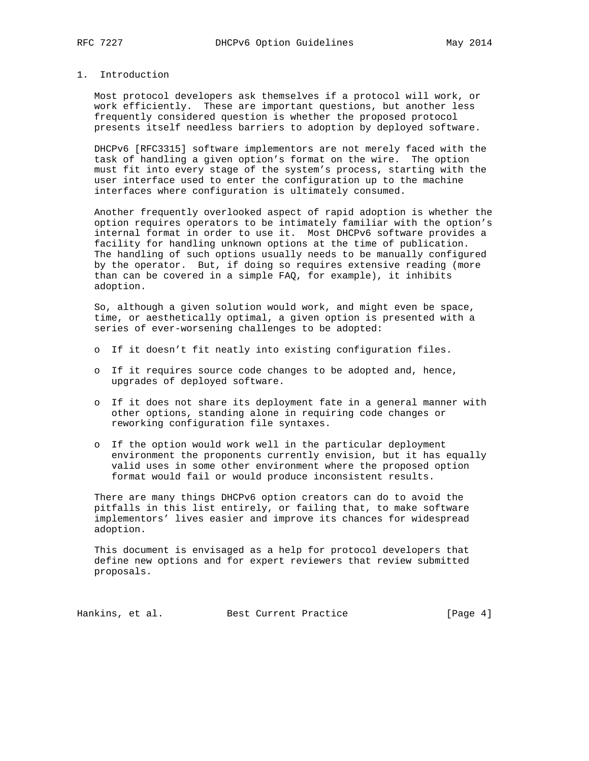### 1. Introduction

 Most protocol developers ask themselves if a protocol will work, or work efficiently. These are important questions, but another less frequently considered question is whether the proposed protocol presents itself needless barriers to adoption by deployed software.

 DHCPv6 [RFC3315] software implementors are not merely faced with the task of handling a given option's format on the wire. The option must fit into every stage of the system's process, starting with the user interface used to enter the configuration up to the machine interfaces where configuration is ultimately consumed.

 Another frequently overlooked aspect of rapid adoption is whether the option requires operators to be intimately familiar with the option's internal format in order to use it. Most DHCPv6 software provides a facility for handling unknown options at the time of publication. The handling of such options usually needs to be manually configured by the operator. But, if doing so requires extensive reading (more than can be covered in a simple FAQ, for example), it inhibits adoption.

 So, although a given solution would work, and might even be space, time, or aesthetically optimal, a given option is presented with a series of ever-worsening challenges to be adopted:

- o If it doesn't fit neatly into existing configuration files.
- o If it requires source code changes to be adopted and, hence, upgrades of deployed software.
- o If it does not share its deployment fate in a general manner with other options, standing alone in requiring code changes or reworking configuration file syntaxes.
- o If the option would work well in the particular deployment environment the proponents currently envision, but it has equally valid uses in some other environment where the proposed option format would fail or would produce inconsistent results.

 There are many things DHCPv6 option creators can do to avoid the pitfalls in this list entirely, or failing that, to make software implementors' lives easier and improve its chances for widespread adoption.

 This document is envisaged as a help for protocol developers that define new options and for expert reviewers that review submitted proposals.

Hankins, et al. Best Current Practice [Page 4]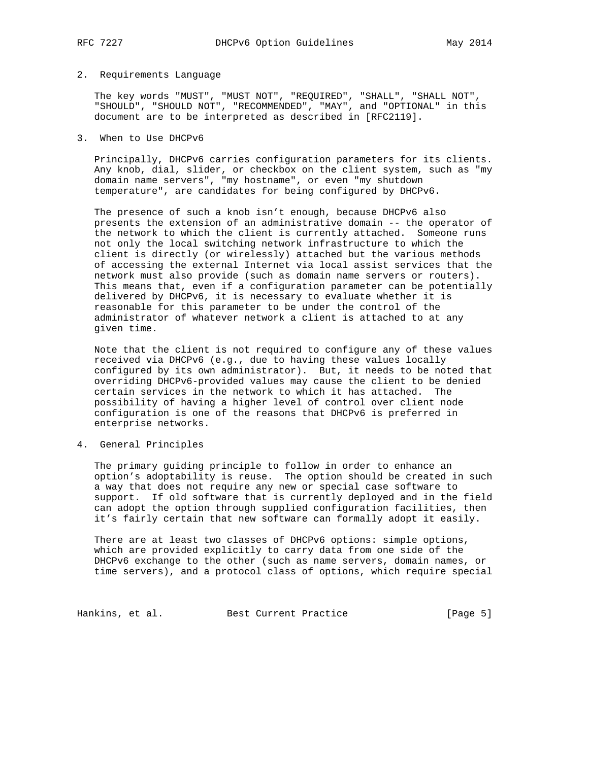#### 2. Requirements Language

 The key words "MUST", "MUST NOT", "REQUIRED", "SHALL", "SHALL NOT", "SHOULD", "SHOULD NOT", "RECOMMENDED", "MAY", and "OPTIONAL" in this document are to be interpreted as described in [RFC2119].

#### 3. When to Use DHCPv6

 Principally, DHCPv6 carries configuration parameters for its clients. Any knob, dial, slider, or checkbox on the client system, such as "my domain name servers", "my hostname", or even "my shutdown temperature", are candidates for being configured by DHCPv6.

 The presence of such a knob isn't enough, because DHCPv6 also presents the extension of an administrative domain -- the operator of the network to which the client is currently attached. Someone runs not only the local switching network infrastructure to which the client is directly (or wirelessly) attached but the various methods of accessing the external Internet via local assist services that the network must also provide (such as domain name servers or routers). This means that, even if a configuration parameter can be potentially delivered by DHCPv6, it is necessary to evaluate whether it is reasonable for this parameter to be under the control of the administrator of whatever network a client is attached to at any given time.

 Note that the client is not required to configure any of these values received via DHCPv6 (e.g., due to having these values locally configured by its own administrator). But, it needs to be noted that overriding DHCPv6-provided values may cause the client to be denied certain services in the network to which it has attached. The possibility of having a higher level of control over client node configuration is one of the reasons that DHCPv6 is preferred in enterprise networks.

#### 4. General Principles

 The primary guiding principle to follow in order to enhance an option's adoptability is reuse. The option should be created in such a way that does not require any new or special case software to support. If old software that is currently deployed and in the field can adopt the option through supplied configuration facilities, then it's fairly certain that new software can formally adopt it easily.

 There are at least two classes of DHCPv6 options: simple options, which are provided explicitly to carry data from one side of the DHCPv6 exchange to the other (such as name servers, domain names, or time servers), and a protocol class of options, which require special

Hankins, et al. Best Current Practice [Page 5]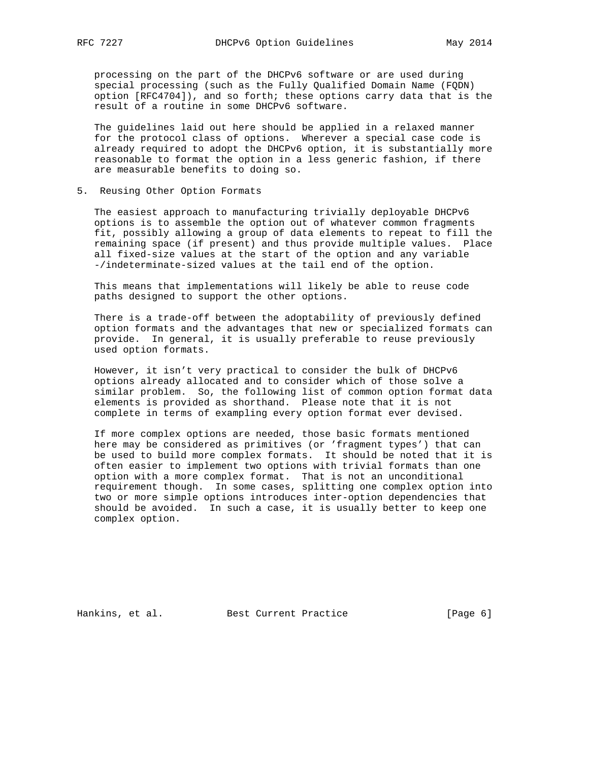processing on the part of the DHCPv6 software or are used during special processing (such as the Fully Qualified Domain Name (FQDN) option [RFC4704]), and so forth; these options carry data that is the result of a routine in some DHCPv6 software.

 The guidelines laid out here should be applied in a relaxed manner for the protocol class of options. Wherever a special case code is already required to adopt the DHCPv6 option, it is substantially more reasonable to format the option in a less generic fashion, if there are measurable benefits to doing so.

#### 5. Reusing Other Option Formats

 The easiest approach to manufacturing trivially deployable DHCPv6 options is to assemble the option out of whatever common fragments fit, possibly allowing a group of data elements to repeat to fill the remaining space (if present) and thus provide multiple values. Place all fixed-size values at the start of the option and any variable -/indeterminate-sized values at the tail end of the option.

 This means that implementations will likely be able to reuse code paths designed to support the other options.

 There is a trade-off between the adoptability of previously defined option formats and the advantages that new or specialized formats can provide. In general, it is usually preferable to reuse previously used option formats.

 However, it isn't very practical to consider the bulk of DHCPv6 options already allocated and to consider which of those solve a similar problem. So, the following list of common option format data elements is provided as shorthand. Please note that it is not complete in terms of exampling every option format ever devised.

 If more complex options are needed, those basic formats mentioned here may be considered as primitives (or 'fragment types') that can be used to build more complex formats. It should be noted that it is often easier to implement two options with trivial formats than one option with a more complex format. That is not an unconditional requirement though. In some cases, splitting one complex option into two or more simple options introduces inter-option dependencies that should be avoided. In such a case, it is usually better to keep one complex option.

Hankins, et al. Best Current Practice [Page 6]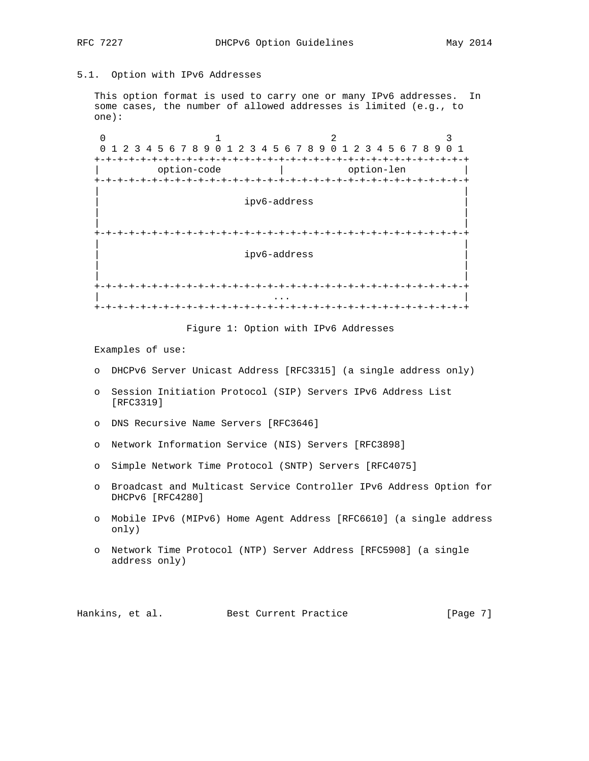# 5.1. Option with IPv6 Addresses

 This option format is used to carry one or many IPv6 addresses. In some cases, the number of allowed addresses is limited (e.g., to one):

0  $1$  2 3 0 1 2 3 4 5 6 7 8 9 0 1 2 3 4 5 6 7 8 9 0 1 2 3 4 5 6 7 8 9 0 1 +-+-+-+-+-+-+-+-+-+-+-+-+-+-+-+-+-+-+-+-+-+-+-+-+-+-+-+-+-+-+-+-+ | option-code | option-len | +-+-+-+-+-+-+-+-+-+-+-+-+-+-+-+-+-+-+-+-+-+-+-+-+-+-+-+-+-+-+-+-+ | | | ipv6-address | | | | | +-+-+-+-+-+-+-+-+-+-+-+-+-+-+-+-+-+-+-+-+-+-+-+-+-+-+-+-+-+-+-+-+ | | | ipv6-address | | | | | +-+-+-+-+-+-+-+-+-+-+-+-+-+-+-+-+-+-+-+-+-+-+-+-+-+-+-+-+-+-+-+-+ | ... | ... | ... | ... | ... | ... | ... | ... | ... | ... | ... | ... | ... | ... | ... | ... | ... | ... | . +-+-+-+-+-+-+-+-+-+-+-+-+-+-+-+-+-+-+-+-+-+-+-+-+-+-+-+-+-+-+-+-+

Figure 1: Option with IPv6 Addresses

Examples of use:

- o DHCPv6 Server Unicast Address [RFC3315] (a single address only)
- o Session Initiation Protocol (SIP) Servers IPv6 Address List [RFC3319]
- o DNS Recursive Name Servers [RFC3646]
- o Network Information Service (NIS) Servers [RFC3898]
- o Simple Network Time Protocol (SNTP) Servers [RFC4075]
- o Broadcast and Multicast Service Controller IPv6 Address Option for DHCPv6 [RFC4280]
- o Mobile IPv6 (MIPv6) Home Agent Address [RFC6610] (a single address only)
- o Network Time Protocol (NTP) Server Address [RFC5908] (a single address only)

Hankins, et al. Best Current Practice [Page 7]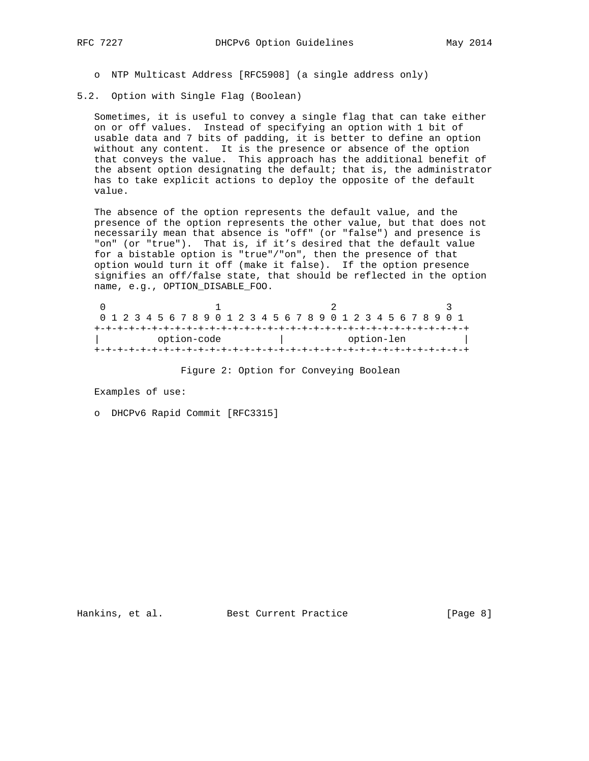- o NTP Multicast Address [RFC5908] (a single address only)
- 5.2. Option with Single Flag (Boolean)

 Sometimes, it is useful to convey a single flag that can take either on or off values. Instead of specifying an option with 1 bit of usable data and 7 bits of padding, it is better to define an option without any content. It is the presence or absence of the option that conveys the value. This approach has the additional benefit of the absent option designating the default; that is, the administrator has to take explicit actions to deploy the opposite of the default value.

 The absence of the option represents the default value, and the presence of the option represents the other value, but that does not necessarily mean that absence is "off" (or "false") and presence is "on" (or "true"). That is, if it's desired that the default value for a bistable option is "true"/"on", then the presence of that option would turn it off (make it false). If the option presence signifies an off/false state, that should be reflected in the option name, e.g., OPTION\_DISABLE\_FOO.

| 0 1 2 3 4 5 6 7 8 9 0 1 2 3 4 5 6 7 8 9 0 1 2 3 4 5 6 7 8 9 0 1 |  |  |  |  |            |  |  |  |  |  |  |  |  |  |  |  |  |  |  |  |  |
|-----------------------------------------------------------------|--|--|--|--|------------|--|--|--|--|--|--|--|--|--|--|--|--|--|--|--|--|
|                                                                 |  |  |  |  |            |  |  |  |  |  |  |  |  |  |  |  |  |  |  |  |  |
| option-code                                                     |  |  |  |  | option-len |  |  |  |  |  |  |  |  |  |  |  |  |  |  |  |  |
|                                                                 |  |  |  |  |            |  |  |  |  |  |  |  |  |  |  |  |  |  |  |  |  |

Figure 2: Option for Conveying Boolean

Examples of use:

o DHCPv6 Rapid Commit [RFC3315]

Hankins, et al. Best Current Practice [Page 8]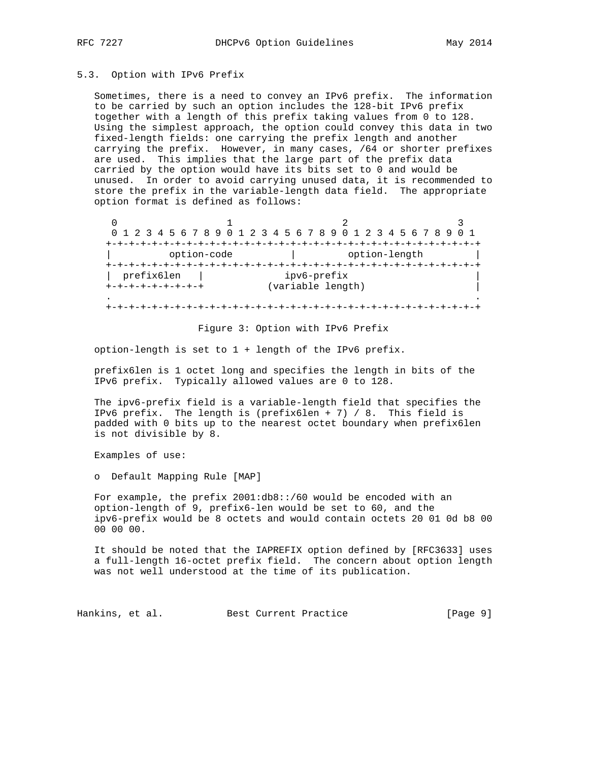#### 5.3. Option with IPv6 Prefix

 Sometimes, there is a need to convey an IPv6 prefix. The information to be carried by such an option includes the 128-bit IPv6 prefix together with a length of this prefix taking values from 0 to 128. Using the simplest approach, the option could convey this data in two fixed-length fields: one carrying the prefix length and another carrying the prefix. However, in many cases, /64 or shorter prefixes are used. This implies that the large part of the prefix data carried by the option would have its bits set to 0 and would be unused. In order to avoid carrying unused data, it is recommended to store the prefix in the variable-length data field. The appropriate option format is defined as follows:

0  $1$   $2$   $3$  0 1 2 3 4 5 6 7 8 9 0 1 2 3 4 5 6 7 8 9 0 1 2 3 4 5 6 7 8 9 0 1 +-+-+-+-+-+-+-+-+-+-+-+-+-+-+-+-+-+-+-+-+-+-+-+-+-+-+-+-+-+-+-+-+ | option-code | option-length | +-+-+-+-+-+-+-+-+-+-+-+-+-+-+-+-+-+-+-+-+-+-+-+-+-+-+-+-+-+-+-+-+ | prefix6len | ipv6-prefix | +-+-+-+-+-+-+-+-+ (variable length) | . . +-+-+-+-+-+-+-+-+-+-+-+-+-+-+-+-+-+-+-+-+-+-+-+-+-+-+-+-+-+-+-+-+

#### Figure 3: Option with IPv6 Prefix

option-length is set to 1 + length of the IPv6 prefix.

 prefix6len is 1 octet long and specifies the length in bits of the IPv6 prefix. Typically allowed values are 0 to 128.

 The ipv6-prefix field is a variable-length field that specifies the IPv6 prefix. The length is (prefix6len + 7) / 8. This field is padded with 0 bits up to the nearest octet boundary when prefix6len is not divisible by 8.

Examples of use:

o Default Mapping Rule [MAP]

 For example, the prefix 2001:db8::/60 would be encoded with an option-length of 9, prefix6-len would be set to 60, and the ipv6-prefix would be 8 octets and would contain octets 20 01 0d b8 00 00 00 00.

 It should be noted that the IAPREFIX option defined by [RFC3633] uses a full-length 16-octet prefix field. The concern about option length was not well understood at the time of its publication.

Hankins, et al. Best Current Practice [Page 9]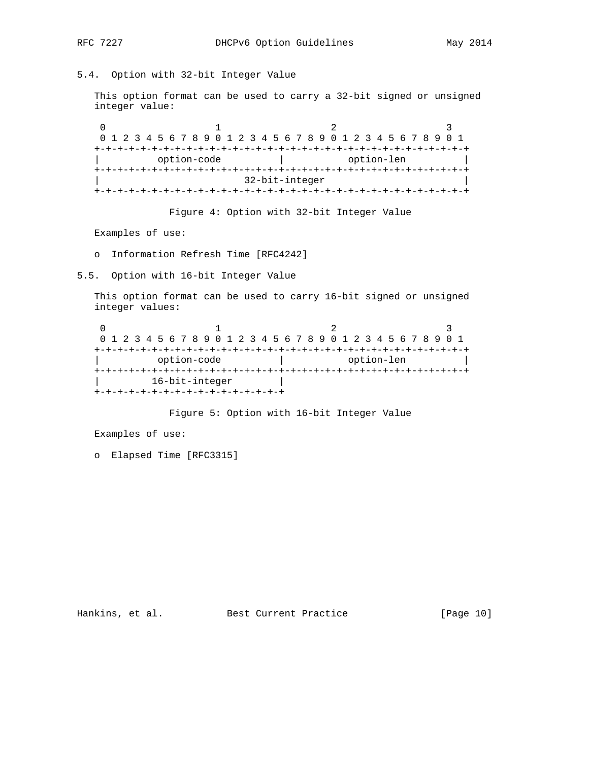# RFC 7227 DHCPv6 Option Guidelines May 2014

### 5.4. Option with 32-bit Integer Value

 This option format can be used to carry a 32-bit signed or unsigned integer value:

0  $1$  2 3 0 1 2 3 4 5 6 7 8 9 0 1 2 3 4 5 6 7 8 9 0 1 2 3 4 5 6 7 8 9 0 1 +-+-+-+-+-+-+-+-+-+-+-+-+-+-+-+-+-+-+-+-+-+-+-+-+-+-+-+-+-+-+-+-+ | option-code | option-len | +-+-+-+-+-+-+-+-+-+-+-+-+-+-+-+-+-+-+-+-+-+-+-+-+-+-+-+-+-+-+-+-+ | 32-bit-integer | +-+-+-+-+-+-+-+-+-+-+-+-+-+-+-+-+-+-+-+-+-+-+-+-+-+-+-+-+-+-+-+-+

Figure 4: Option with 32-bit Integer Value

Examples of use:

o Information Refresh Time [RFC4242]

5.5. Option with 16-bit Integer Value

 This option format can be used to carry 16-bit signed or unsigned integer values:

0  $1$  2 3 0 1 2 3 4 5 6 7 8 9 0 1 2 3 4 5 6 7 8 9 0 1 2 3 4 5 6 7 8 9 0 1 +-+-+-+-+-+-+-+-+-+-+-+-+-+-+-+-+-+-+-+-+-+-+-+-+-+-+-+-+-+-+-+-+ | option-code | option-len | +-+-+-+-+-+-+-+-+-+-+-+-+-+-+-+-+-+-+-+-+-+-+-+-+-+-+-+-+-+-+-+-+ 16-bit-integer +-+-+-+-+-+-+-+-+-+-+-+-+-+-+-+-+

Figure 5: Option with 16-bit Integer Value

Examples of use:

o Elapsed Time [RFC3315]

Hankins, et al. Best Current Practice [Page 10]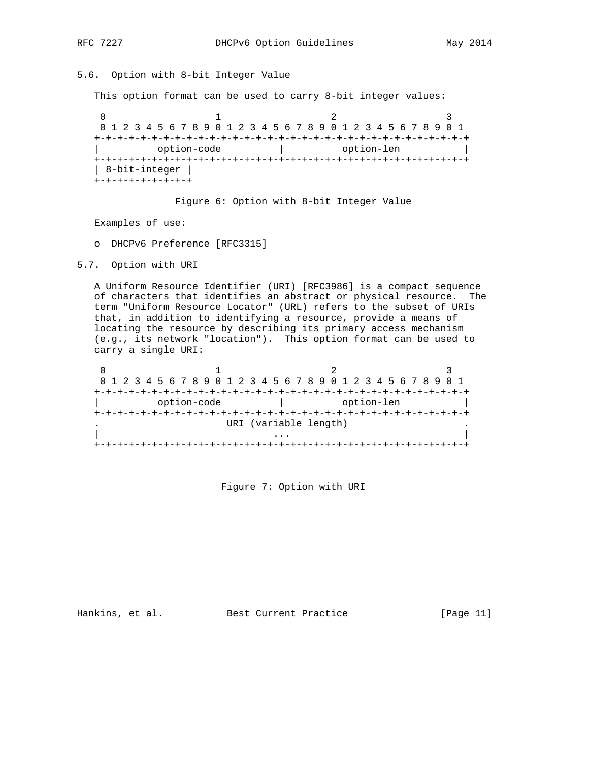# 5.6. Option with 8-bit Integer Value

This option format can be used to carry 8-bit integer values:

0  $1$  2 3 0 1 2 3 4 5 6 7 8 9 0 1 2 3 4 5 6 7 8 9 0 1 2 3 4 5 6 7 8 9 0 1 +-+-+-+-+-+-+-+-+-+-+-+-+-+-+-+-+-+-+-+-+-+-+-+-+-+-+-+-+-+-+-+-+ | option-code | option-len | +-+-+-+-+-+-+-+-+-+-+-+-+-+-+-+-+-+-+-+-+-+-+-+-+-+-+-+-+-+-+-+-+ | 8-bit-integer | +-+-+-+-+-+-+-+-+

#### Figure 6: Option with 8-bit Integer Value

Examples of use:

o DHCPv6 Preference [RFC3315]

5.7. Option with URI

 A Uniform Resource Identifier (URI) [RFC3986] is a compact sequence of characters that identifies an abstract or physical resource. The term "Uniform Resource Locator" (URL) refers to the subset of URIs that, in addition to identifying a resource, provide a means of locating the resource by describing its primary access mechanism (e.g., its network "location"). This option format can be used to carry a single URI:

| 0 1 2 3 4 5 6 7 8 9 0 1 2 3 4 5 6 7 8 9 0 1 2 3 4 5 6 7 8 9 0 1 |                       |            |  |  |  |  |  |
|-----------------------------------------------------------------|-----------------------|------------|--|--|--|--|--|
|                                                                 |                       |            |  |  |  |  |  |
| option-code                                                     |                       | option-len |  |  |  |  |  |
| --+-+-+-+--                                                     |                       |            |  |  |  |  |  |
|                                                                 | URI (variable length) |            |  |  |  |  |  |
|                                                                 |                       |            |  |  |  |  |  |
|                                                                 |                       |            |  |  |  |  |  |

Figure 7: Option with URI

Hankins, et al. Best Current Practice [Page 11]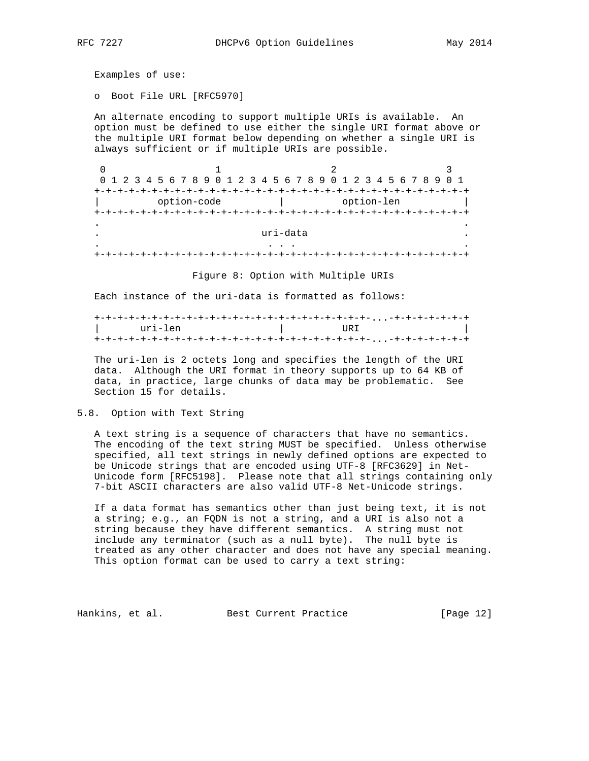Examples of use:

o Boot File URL [RFC5970]

 An alternate encoding to support multiple URIs is available. An option must be defined to use either the single URI format above or the multiple URI format below depending on whether a single URI is always sufficient or if multiple URIs are possible.

0  $1$  2 3 0 1 2 3 4 5 6 7 8 9 0 1 2 3 4 5 6 7 8 9 0 1 2 3 4 5 6 7 8 9 0 1 +-+-+-+-+-+-+-+-+-+-+-+-+-+-+-+-+-+-+-+-+-+-+-+-+-+-+-+-+-+-+-+-+ | option-code | option-len | +-+-+-+-+-+-+-+-+-+-+-+-+-+-+-+-+-+-+-+-+-+-+-+-+-+-+-+-+-+-+-+-+ . . uri-data . . . . . +-+-+-+-+-+-+-+-+-+-+-+-+-+-+-+-+-+-+-+-+-+-+-+-+-+-+-+-+-+-+-+-+

Figure 8: Option with Multiple URIs

Each instance of the uri-data is formatted as follows:

| uri-len | URI |
|---------|-----|
|         |     |

 The uri-len is 2 octets long and specifies the length of the URI data. Although the URI format in theory supports up to 64 KB of data, in practice, large chunks of data may be problematic. See Section 15 for details.

#### 5.8. Option with Text String

 A text string is a sequence of characters that have no semantics. The encoding of the text string MUST be specified. Unless otherwise specified, all text strings in newly defined options are expected to be Unicode strings that are encoded using UTF-8 [RFC3629] in Net- Unicode form [RFC5198]. Please note that all strings containing only 7-bit ASCII characters are also valid UTF-8 Net-Unicode strings.

 If a data format has semantics other than just being text, it is not a string; e.g., an FQDN is not a string, and a URI is also not a string because they have different semantics. A string must not include any terminator (such as a null byte). The null byte is treated as any other character and does not have any special meaning. This option format can be used to carry a text string:

Hankins, et al. Best Current Practice [Page 12]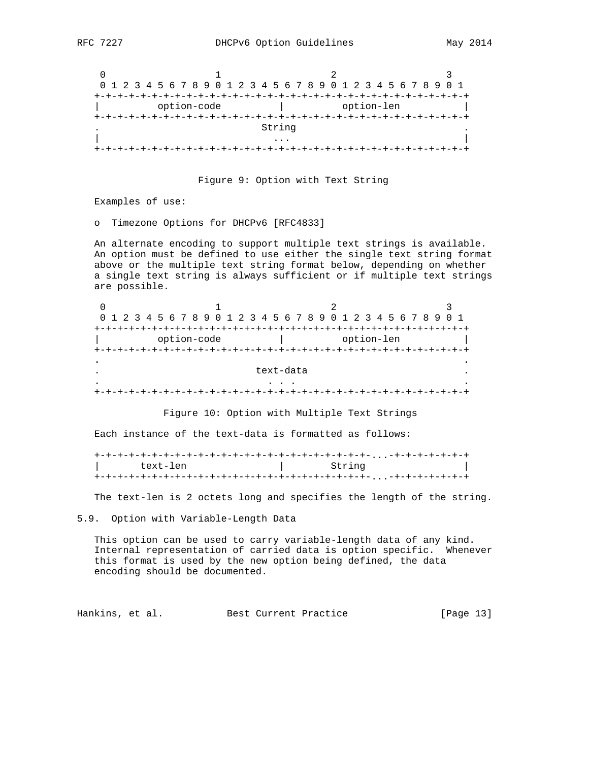| 0 1 2 3 4 5 6 7 8 9 0 1 2 3 4 5 6 7 8 9 0 1 2 3 4 5 6 7 8 9 0 1 |        |            |  |  |  |  |
|-----------------------------------------------------------------|--------|------------|--|--|--|--|
|                                                                 |        |            |  |  |  |  |
| option-code                                                     |        | option-len |  |  |  |  |
|                                                                 |        |            |  |  |  |  |
|                                                                 | String |            |  |  |  |  |
|                                                                 | .      |            |  |  |  |  |
|                                                                 |        |            |  |  |  |  |

Figure 9: Option with Text String

Examples of use:

o Timezone Options for DHCPv6 [RFC4833]

 An alternate encoding to support multiple text strings is available. An option must be defined to use either the single text string format above or the multiple text string format below, depending on whether a single text string is always sufficient or if multiple text strings are possible.

| 0 1 2 3 4 5 6 7 8 9 0 1 2 3 4 5 6 7 8 9 0 1 2 3 4 5 6 7 8 9 0 1 |           |            |  |  |  |  |
|-----------------------------------------------------------------|-----------|------------|--|--|--|--|
|                                                                 |           |            |  |  |  |  |
| option-code                                                     |           | option-len |  |  |  |  |
|                                                                 |           |            |  |  |  |  |
|                                                                 |           |            |  |  |  |  |
|                                                                 | text-data |            |  |  |  |  |
|                                                                 |           |            |  |  |  |  |
|                                                                 |           |            |  |  |  |  |

Figure 10: Option with Multiple Text Strings

Each instance of the text-data is formatted as follows:

| text-len | String |
|----------|--------|
|          |        |

The text-len is 2 octets long and specifies the length of the string.

5.9. Option with Variable-Length Data

 This option can be used to carry variable-length data of any kind. Internal representation of carried data is option specific. Whenever this format is used by the new option being defined, the data encoding should be documented.

Hankins, et al. Best Current Practice [Page 13]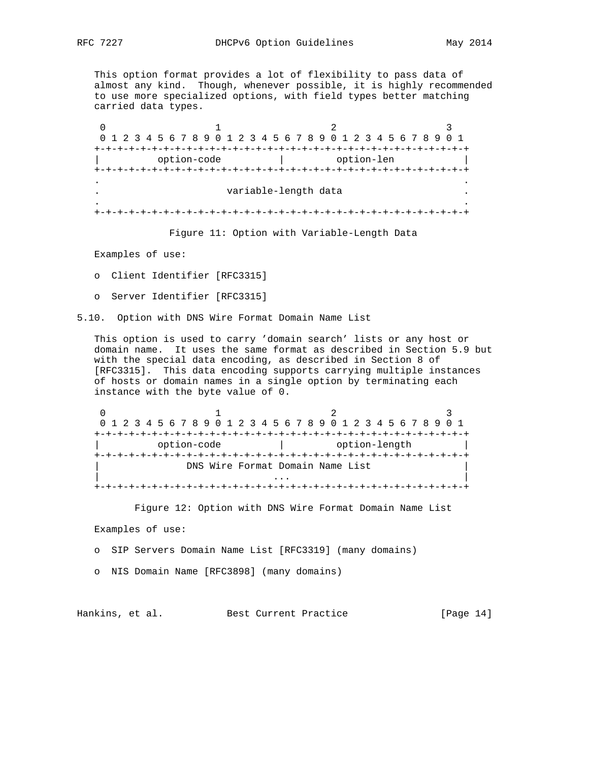This option format provides a lot of flexibility to pass data of almost any kind. Though, whenever possible, it is highly recommended to use more specialized options, with field types better matching carried data types.

0  $1$  2 3 0 1 2 3 4 5 6 7 8 9 0 1 2 3 4 5 6 7 8 9 0 1 2 3 4 5 6 7 8 9 0 1 +-+-+-+-+-+-+-+-+-+-+-+-+-+-+-+-+-+-+-+-+-+-+-+-+-+-+-+-+-+-+-+-+ | option-code | option-len | +-+-+-+-+-+-+-+-+-+-+-+-+-+-+-+-+-+-+-+-+-+-+-+-+-+-+-+-+-+-+-+-+ . . . variable-length data . . . +-+-+-+-+-+-+-+-+-+-+-+-+-+-+-+-+-+-+-+-+-+-+-+-+-+-+-+-+-+-+-+-+

Figure 11: Option with Variable-Length Data

Examples of use:

o Client Identifier [RFC3315]

o Server Identifier [RFC3315]

5.10. Option with DNS Wire Format Domain Name List

 This option is used to carry 'domain search' lists or any host or domain name. It uses the same format as described in Section 5.9 but with the special data encoding, as described in Section 8 of [RFC3315]. This data encoding supports carrying multiple instances of hosts or domain names in a single option by terminating each instance with the byte value of 0.

0  $1$  2 3 0 1 2 3 4 5 6 7 8 9 0 1 2 3 4 5 6 7 8 9 0 1 2 3 4 5 6 7 8 9 0 1 +-+-+-+-+-+-+-+-+-+-+-+-+-+-+-+-+-+-+-+-+-+-+-+-+-+-+-+-+-+-+-+-+ | option-code | option-length | +-+-+-+-+-+-+-+-+-+-+-+-+-+-+-+-+-+-+-+-+-+-+-+-+-+-+-+-+-+-+-+-+ DNS Wire Format Domain Name List | ... | ... | ... | ... | ... | ... | ... | ... | ... | ... | ... | ... | ... | ... | ... | ... | ... | ... | . +-+-+-+-+-+-+-+-+-+-+-+-+-+-+-+-+-+-+-+-+-+-+-+-+-+-+-+-+-+-+-+-+

Figure 12: Option with DNS Wire Format Domain Name List

Examples of use:

o SIP Servers Domain Name List [RFC3319] (many domains)

o NIS Domain Name [RFC3898] (many domains)

Hankins, et al. Best Current Practice [Page 14]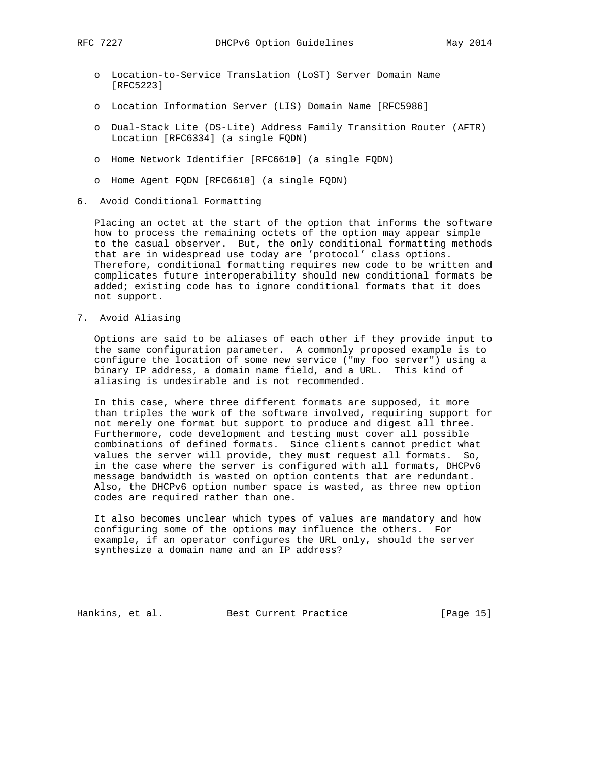- o Location-to-Service Translation (LoST) Server Domain Name [RFC5223]
- o Location Information Server (LIS) Domain Name [RFC5986]
- o Dual-Stack Lite (DS-Lite) Address Family Transition Router (AFTR) Location [RFC6334] (a single FQDN)
- o Home Network Identifier [RFC6610] (a single FQDN)
- o Home Agent FQDN [RFC6610] (a single FQDN)
- 6. Avoid Conditional Formatting

 Placing an octet at the start of the option that informs the software how to process the remaining octets of the option may appear simple to the casual observer. But, the only conditional formatting methods that are in widespread use today are 'protocol' class options. Therefore, conditional formatting requires new code to be written and complicates future interoperability should new conditional formats be added; existing code has to ignore conditional formats that it does not support.

7. Avoid Aliasing

 Options are said to be aliases of each other if they provide input to the same configuration parameter. A commonly proposed example is to configure the location of some new service ("my foo server") using a binary IP address, a domain name field, and a URL. This kind of aliasing is undesirable and is not recommended.

 In this case, where three different formats are supposed, it more than triples the work of the software involved, requiring support for not merely one format but support to produce and digest all three. Furthermore, code development and testing must cover all possible combinations of defined formats. Since clients cannot predict what values the server will provide, they must request all formats. So, in the case where the server is configured with all formats, DHCPv6 message bandwidth is wasted on option contents that are redundant. Also, the DHCPv6 option number space is wasted, as three new option codes are required rather than one.

 It also becomes unclear which types of values are mandatory and how configuring some of the options may influence the others. For example, if an operator configures the URL only, should the server synthesize a domain name and an IP address?

Hankins, et al. Best Current Practice [Page 15]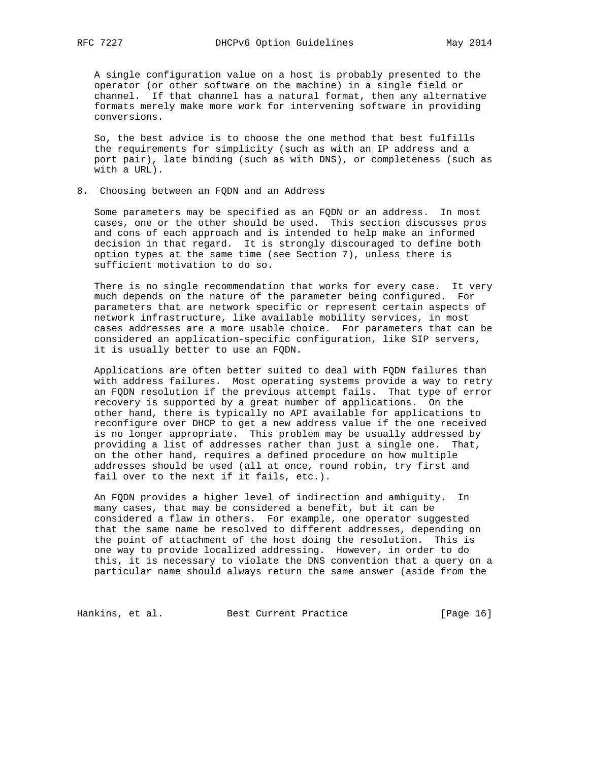A single configuration value on a host is probably presented to the operator (or other software on the machine) in a single field or channel. If that channel has a natural format, then any alternative formats merely make more work for intervening software in providing conversions.

 So, the best advice is to choose the one method that best fulfills the requirements for simplicity (such as with an IP address and a port pair), late binding (such as with DNS), or completeness (such as with a URL).

8. Choosing between an FQDN and an Address

 Some parameters may be specified as an FQDN or an address. In most cases, one or the other should be used. This section discusses pros and cons of each approach and is intended to help make an informed decision in that regard. It is strongly discouraged to define both option types at the same time (see Section 7), unless there is sufficient motivation to do so.

 There is no single recommendation that works for every case. It very much depends on the nature of the parameter being configured. For parameters that are network specific or represent certain aspects of network infrastructure, like available mobility services, in most cases addresses are a more usable choice. For parameters that can be considered an application-specific configuration, like SIP servers, it is usually better to use an FQDN.

 Applications are often better suited to deal with FQDN failures than with address failures. Most operating systems provide a way to retry an FQDN resolution if the previous attempt fails. That type of error recovery is supported by a great number of applications. On the other hand, there is typically no API available for applications to reconfigure over DHCP to get a new address value if the one received is no longer appropriate. This problem may be usually addressed by providing a list of addresses rather than just a single one. That, on the other hand, requires a defined procedure on how multiple addresses should be used (all at once, round robin, try first and fail over to the next if it fails, etc.).

 An FQDN provides a higher level of indirection and ambiguity. In many cases, that may be considered a benefit, but it can be considered a flaw in others. For example, one operator suggested that the same name be resolved to different addresses, depending on the point of attachment of the host doing the resolution. This is one way to provide localized addressing. However, in order to do this, it is necessary to violate the DNS convention that a query on a particular name should always return the same answer (aside from the

Hankins, et al. Best Current Practice [Page 16]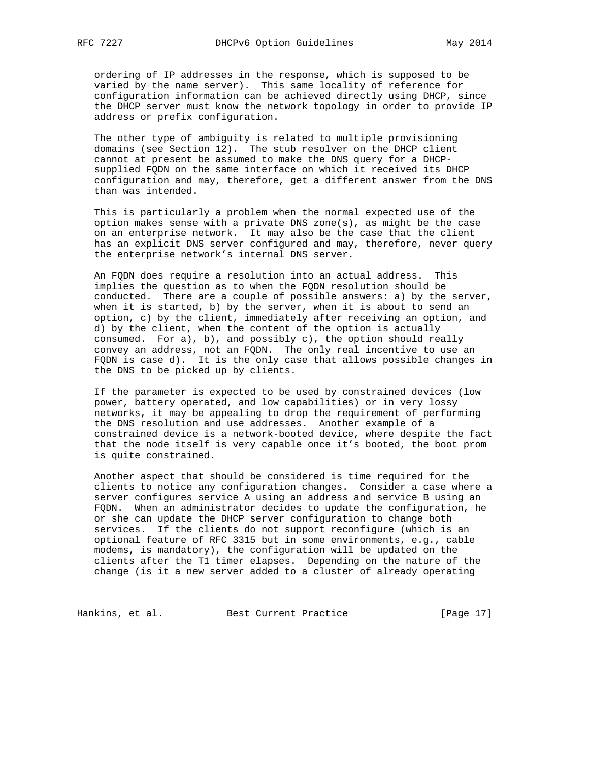ordering of IP addresses in the response, which is supposed to be varied by the name server). This same locality of reference for configuration information can be achieved directly using DHCP, since the DHCP server must know the network topology in order to provide IP address or prefix configuration.

 The other type of ambiguity is related to multiple provisioning domains (see Section 12). The stub resolver on the DHCP client cannot at present be assumed to make the DNS query for a DHCP supplied FQDN on the same interface on which it received its DHCP configuration and may, therefore, get a different answer from the DNS than was intended.

 This is particularly a problem when the normal expected use of the option makes sense with a private DNS zone(s), as might be the case on an enterprise network. It may also be the case that the client has an explicit DNS server configured and may, therefore, never query the enterprise network's internal DNS server.

 An FQDN does require a resolution into an actual address. This implies the question as to when the FQDN resolution should be conducted. There are a couple of possible answers: a) by the server, when it is started, b) by the server, when it is about to send an option, c) by the client, immediately after receiving an option, and d) by the client, when the content of the option is actually consumed. For  $a)$ ,  $b)$ , and possibly  $c)$ , the option should really convey an address, not an FQDN. The only real incentive to use an FQDN is case d). It is the only case that allows possible changes in the DNS to be picked up by clients.

 If the parameter is expected to be used by constrained devices (low power, battery operated, and low capabilities) or in very lossy networks, it may be appealing to drop the requirement of performing the DNS resolution and use addresses. Another example of a constrained device is a network-booted device, where despite the fact that the node itself is very capable once it's booted, the boot prom is quite constrained.

 Another aspect that should be considered is time required for the clients to notice any configuration changes. Consider a case where a server configures service A using an address and service B using an FQDN. When an administrator decides to update the configuration, he or she can update the DHCP server configuration to change both services. If the clients do not support reconfigure (which is an optional feature of RFC 3315 but in some environments, e.g., cable modems, is mandatory), the configuration will be updated on the clients after the T1 timer elapses. Depending on the nature of the change (is it a new server added to a cluster of already operating

Hankins, et al. Best Current Practice [Page 17]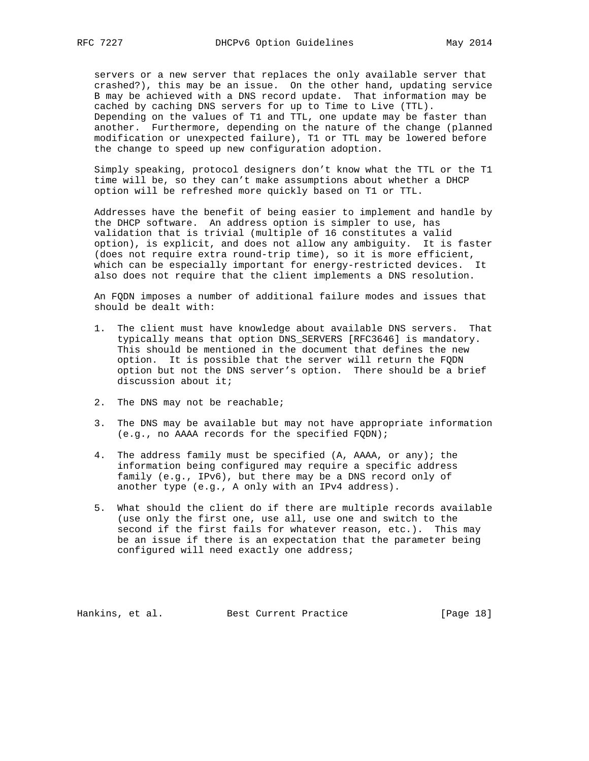servers or a new server that replaces the only available server that crashed?), this may be an issue. On the other hand, updating service B may be achieved with a DNS record update. That information may be cached by caching DNS servers for up to Time to Live (TTL). Depending on the values of T1 and TTL, one update may be faster than another. Furthermore, depending on the nature of the change (planned modification or unexpected failure), T1 or TTL may be lowered before the change to speed up new configuration adoption.

 Simply speaking, protocol designers don't know what the TTL or the T1 time will be, so they can't make assumptions about whether a DHCP option will be refreshed more quickly based on T1 or TTL.

 Addresses have the benefit of being easier to implement and handle by the DHCP software. An address option is simpler to use, has validation that is trivial (multiple of 16 constitutes a valid option), is explicit, and does not allow any ambiguity. It is faster (does not require extra round-trip time), so it is more efficient, which can be especially important for energy-restricted devices. It also does not require that the client implements a DNS resolution.

 An FQDN imposes a number of additional failure modes and issues that should be dealt with:

- 1. The client must have knowledge about available DNS servers. That typically means that option DNS\_SERVERS [RFC3646] is mandatory. This should be mentioned in the document that defines the new option. It is possible that the server will return the FQDN option but not the DNS server's option. There should be a brief discussion about it;
- 2. The DNS may not be reachable;
- 3. The DNS may be available but may not have appropriate information (e.g., no AAAA records for the specified FQDN);
- 4. The address family must be specified (A, AAAA, or any); the information being configured may require a specific address family (e.g., IPv6), but there may be a DNS record only of another type (e.g., A only with an IPv4 address).
- 5. What should the client do if there are multiple records available (use only the first one, use all, use one and switch to the second if the first fails for whatever reason, etc.). This may be an issue if there is an expectation that the parameter being configured will need exactly one address;

Hankins, et al. Best Current Practice [Page 18]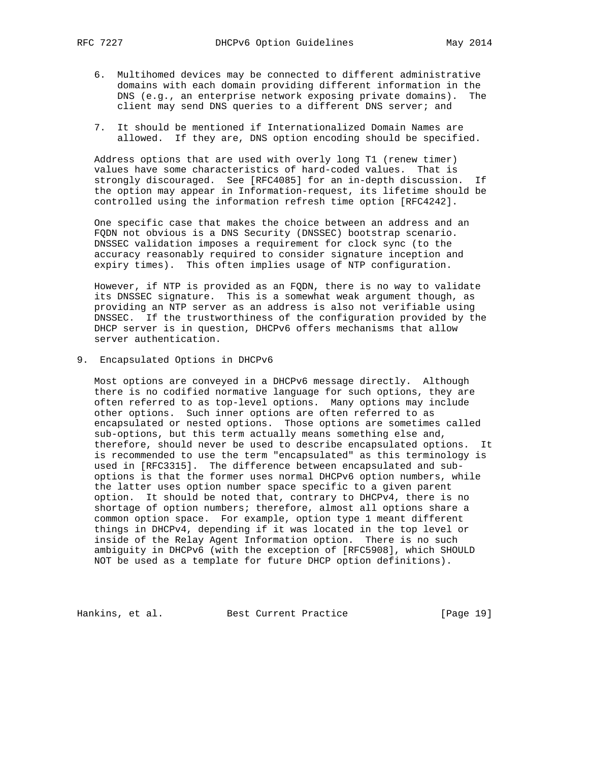- - 6. Multihomed devices may be connected to different administrative domains with each domain providing different information in the DNS (e.g., an enterprise network exposing private domains). The client may send DNS queries to a different DNS server; and
	- 7. It should be mentioned if Internationalized Domain Names are allowed. If they are, DNS option encoding should be specified.

 Address options that are used with overly long T1 (renew timer) values have some characteristics of hard-coded values. That is strongly discouraged. See [RFC4085] for an in-depth discussion. If the option may appear in Information-request, its lifetime should be controlled using the information refresh time option [RFC4242].

 One specific case that makes the choice between an address and an FQDN not obvious is a DNS Security (DNSSEC) bootstrap scenario. DNSSEC validation imposes a requirement for clock sync (to the accuracy reasonably required to consider signature inception and expiry times). This often implies usage of NTP configuration.

 However, if NTP is provided as an FQDN, there is no way to validate its DNSSEC signature. This is a somewhat weak argument though, as providing an NTP server as an address is also not verifiable using DNSSEC. If the trustworthiness of the configuration provided by the DHCP server is in question, DHCPv6 offers mechanisms that allow server authentication.

9. Encapsulated Options in DHCPv6

 Most options are conveyed in a DHCPv6 message directly. Although there is no codified normative language for such options, they are often referred to as top-level options. Many options may include other options. Such inner options are often referred to as encapsulated or nested options. Those options are sometimes called sub-options, but this term actually means something else and, therefore, should never be used to describe encapsulated options. It is recommended to use the term "encapsulated" as this terminology is used in [RFC3315]. The difference between encapsulated and sub options is that the former uses normal DHCPv6 option numbers, while the latter uses option number space specific to a given parent option. It should be noted that, contrary to DHCPv4, there is no shortage of option numbers; therefore, almost all options share a common option space. For example, option type 1 meant different things in DHCPv4, depending if it was located in the top level or inside of the Relay Agent Information option. There is no such ambiguity in DHCPv6 (with the exception of [RFC5908], which SHOULD NOT be used as a template for future DHCP option definitions).

Hankins, et al. Best Current Practice [Page 19]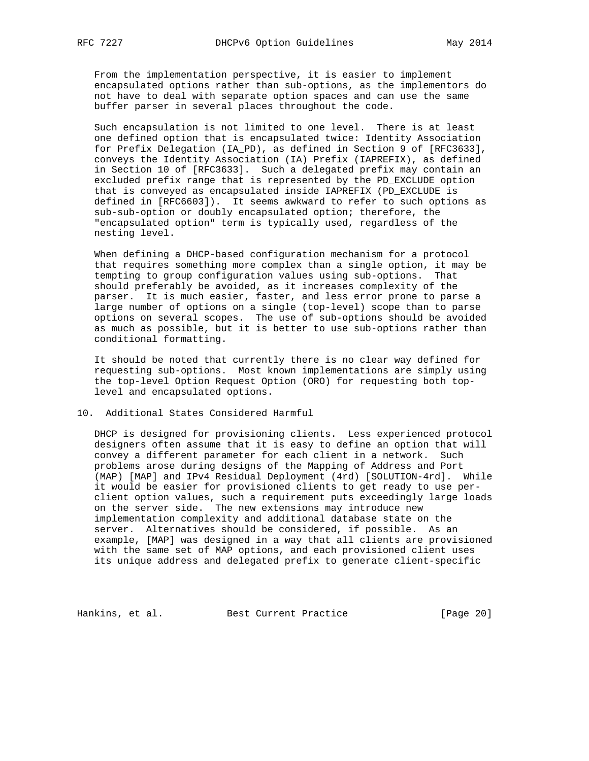From the implementation perspective, it is easier to implement encapsulated options rather than sub-options, as the implementors do not have to deal with separate option spaces and can use the same buffer parser in several places throughout the code.

 Such encapsulation is not limited to one level. There is at least one defined option that is encapsulated twice: Identity Association for Prefix Delegation (IA\_PD), as defined in Section 9 of [RFC3633], conveys the Identity Association (IA) Prefix (IAPREFIX), as defined in Section 10 of [RFC3633]. Such a delegated prefix may contain an excluded prefix range that is represented by the PD\_EXCLUDE option that is conveyed as encapsulated inside IAPREFIX (PD\_EXCLUDE is defined in [RFC6603]). It seems awkward to refer to such options as sub-sub-option or doubly encapsulated option; therefore, the "encapsulated option" term is typically used, regardless of the nesting level.

 When defining a DHCP-based configuration mechanism for a protocol that requires something more complex than a single option, it may be tempting to group configuration values using sub-options. That should preferably be avoided, as it increases complexity of the parser. It is much easier, faster, and less error prone to parse a large number of options on a single (top-level) scope than to parse options on several scopes. The use of sub-options should be avoided as much as possible, but it is better to use sub-options rather than conditional formatting.

 It should be noted that currently there is no clear way defined for requesting sub-options. Most known implementations are simply using the top-level Option Request Option (ORO) for requesting both top level and encapsulated options.

10. Additional States Considered Harmful

 DHCP is designed for provisioning clients. Less experienced protocol designers often assume that it is easy to define an option that will convey a different parameter for each client in a network. Such problems arose during designs of the Mapping of Address and Port (MAP) [MAP] and IPv4 Residual Deployment (4rd) [SOLUTION-4rd]. While it would be easier for provisioned clients to get ready to use per client option values, such a requirement puts exceedingly large loads on the server side. The new extensions may introduce new implementation complexity and additional database state on the server. Alternatives should be considered, if possible. As an example, [MAP] was designed in a way that all clients are provisioned with the same set of MAP options, and each provisioned client uses its unique address and delegated prefix to generate client-specific

Hankins, et al. Best Current Practice [Page 20]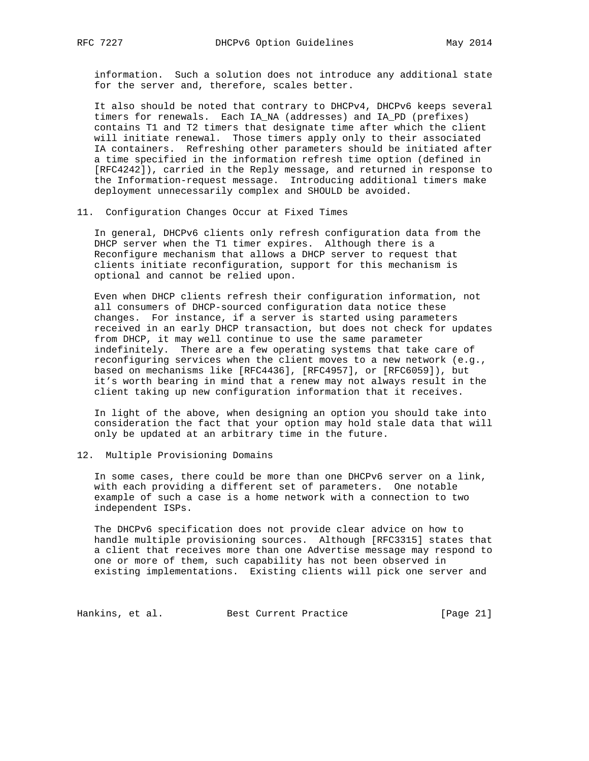information. Such a solution does not introduce any additional state for the server and, therefore, scales better.

 It also should be noted that contrary to DHCPv4, DHCPv6 keeps several timers for renewals. Each IA\_NA (addresses) and IA\_PD (prefixes) contains T1 and T2 timers that designate time after which the client will initiate renewal. Those timers apply only to their associated IA containers. Refreshing other parameters should be initiated after a time specified in the information refresh time option (defined in [RFC4242]), carried in the Reply message, and returned in response to the Information-request message. Introducing additional timers make deployment unnecessarily complex and SHOULD be avoided.

#### 11. Configuration Changes Occur at Fixed Times

 In general, DHCPv6 clients only refresh configuration data from the DHCP server when the T1 timer expires. Although there is a Reconfigure mechanism that allows a DHCP server to request that clients initiate reconfiguration, support for this mechanism is optional and cannot be relied upon.

 Even when DHCP clients refresh their configuration information, not all consumers of DHCP-sourced configuration data notice these changes. For instance, if a server is started using parameters received in an early DHCP transaction, but does not check for updates from DHCP, it may well continue to use the same parameter indefinitely. There are a few operating systems that take care of reconfiguring services when the client moves to a new network (e.g., based on mechanisms like [RFC4436], [RFC4957], or [RFC6059]), but it's worth bearing in mind that a renew may not always result in the client taking up new configuration information that it receives.

 In light of the above, when designing an option you should take into consideration the fact that your option may hold stale data that will only be updated at an arbitrary time in the future.

#### 12. Multiple Provisioning Domains

 In some cases, there could be more than one DHCPv6 server on a link, with each providing a different set of parameters. One notable example of such a case is a home network with a connection to two independent ISPs.

 The DHCPv6 specification does not provide clear advice on how to handle multiple provisioning sources. Although [RFC3315] states that a client that receives more than one Advertise message may respond to one or more of them, such capability has not been observed in existing implementations. Existing clients will pick one server and

Hankins, et al. Best Current Practice [Page 21]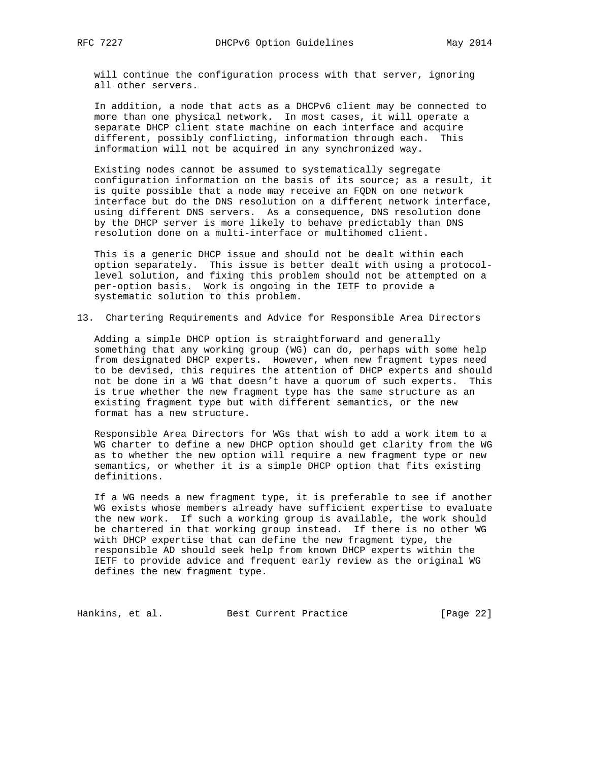will continue the configuration process with that server, ignoring all other servers.

 In addition, a node that acts as a DHCPv6 client may be connected to more than one physical network. In most cases, it will operate a separate DHCP client state machine on each interface and acquire different, possibly conflicting, information through each. This information will not be acquired in any synchronized way.

 Existing nodes cannot be assumed to systematically segregate configuration information on the basis of its source; as a result, it is quite possible that a node may receive an FQDN on one network interface but do the DNS resolution on a different network interface, using different DNS servers. As a consequence, DNS resolution done by the DHCP server is more likely to behave predictably than DNS resolution done on a multi-interface or multihomed client.

 This is a generic DHCP issue and should not be dealt within each option separately. This issue is better dealt with using a protocol level solution, and fixing this problem should not be attempted on a per-option basis. Work is ongoing in the IETF to provide a systematic solution to this problem.

13. Chartering Requirements and Advice for Responsible Area Directors

 Adding a simple DHCP option is straightforward and generally something that any working group (WG) can do, perhaps with some help from designated DHCP experts. However, when new fragment types need to be devised, this requires the attention of DHCP experts and should not be done in a WG that doesn't have a quorum of such experts. This is true whether the new fragment type has the same structure as an existing fragment type but with different semantics, or the new format has a new structure.

 Responsible Area Directors for WGs that wish to add a work item to a WG charter to define a new DHCP option should get clarity from the WG as to whether the new option will require a new fragment type or new semantics, or whether it is a simple DHCP option that fits existing definitions.

 If a WG needs a new fragment type, it is preferable to see if another WG exists whose members already have sufficient expertise to evaluate the new work. If such a working group is available, the work should be chartered in that working group instead. If there is no other WG with DHCP expertise that can define the new fragment type, the responsible AD should seek help from known DHCP experts within the IETF to provide advice and frequent early review as the original WG defines the new fragment type.

Hankins, et al. Best Current Practice [Page 22]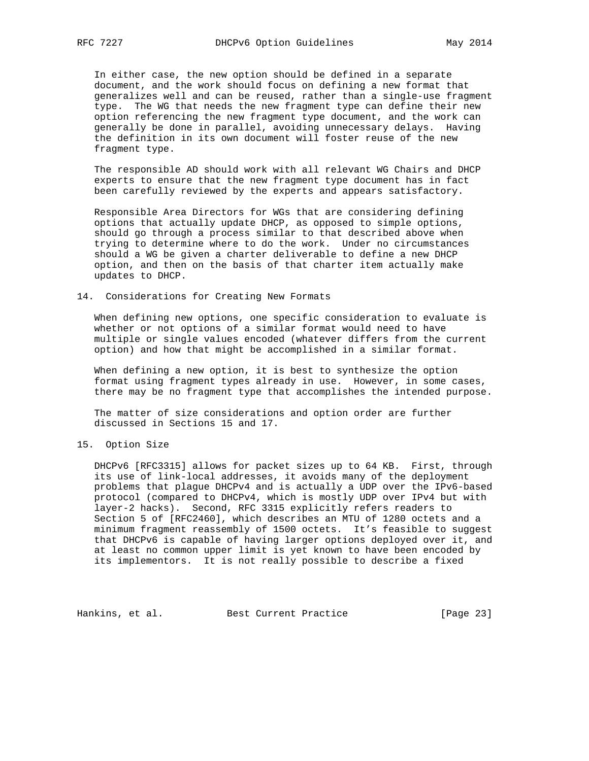In either case, the new option should be defined in a separate document, and the work should focus on defining a new format that generalizes well and can be reused, rather than a single-use fragment type. The WG that needs the new fragment type can define their new option referencing the new fragment type document, and the work can generally be done in parallel, avoiding unnecessary delays. Having the definition in its own document will foster reuse of the new fragment type.

 The responsible AD should work with all relevant WG Chairs and DHCP experts to ensure that the new fragment type document has in fact been carefully reviewed by the experts and appears satisfactory.

 Responsible Area Directors for WGs that are considering defining options that actually update DHCP, as opposed to simple options, should go through a process similar to that described above when trying to determine where to do the work. Under no circumstances should a WG be given a charter deliverable to define a new DHCP option, and then on the basis of that charter item actually make updates to DHCP.

#### 14. Considerations for Creating New Formats

 When defining new options, one specific consideration to evaluate is whether or not options of a similar format would need to have multiple or single values encoded (whatever differs from the current option) and how that might be accomplished in a similar format.

 When defining a new option, it is best to synthesize the option format using fragment types already in use. However, in some cases, there may be no fragment type that accomplishes the intended purpose.

 The matter of size considerations and option order are further discussed in Sections 15 and 17.

#### 15. Option Size

 DHCPv6 [RFC3315] allows for packet sizes up to 64 KB. First, through its use of link-local addresses, it avoids many of the deployment problems that plague DHCPv4 and is actually a UDP over the IPv6-based protocol (compared to DHCPv4, which is mostly UDP over IPv4 but with layer-2 hacks). Second, RFC 3315 explicitly refers readers to Section 5 of [RFC2460], which describes an MTU of 1280 octets and a minimum fragment reassembly of 1500 octets. It's feasible to suggest that DHCPv6 is capable of having larger options deployed over it, and at least no common upper limit is yet known to have been encoded by its implementors. It is not really possible to describe a fixed

Hankins, et al. Best Current Practice [Page 23]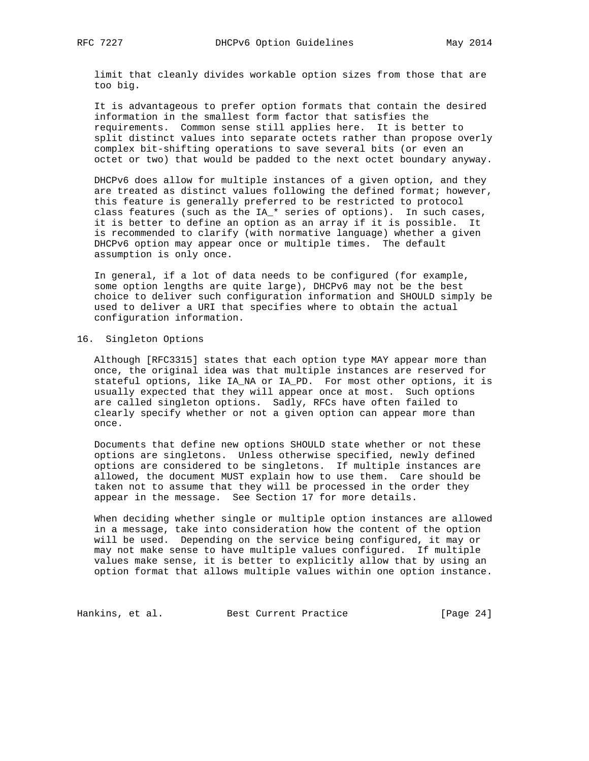limit that cleanly divides workable option sizes from those that are too big.

 It is advantageous to prefer option formats that contain the desired information in the smallest form factor that satisfies the requirements. Common sense still applies here. It is better to split distinct values into separate octets rather than propose overly complex bit-shifting operations to save several bits (or even an octet or two) that would be padded to the next octet boundary anyway.

 DHCPv6 does allow for multiple instances of a given option, and they are treated as distinct values following the defined format; however, this feature is generally preferred to be restricted to protocol class features (such as the IA\_\* series of options). In such cases, it is better to define an option as an array if it is possible. It is recommended to clarify (with normative language) whether a given DHCPv6 option may appear once or multiple times. The default assumption is only once.

 In general, if a lot of data needs to be configured (for example, some option lengths are quite large), DHCPv6 may not be the best choice to deliver such configuration information and SHOULD simply be used to deliver a URI that specifies where to obtain the actual configuration information.

#### 16. Singleton Options

 Although [RFC3315] states that each option type MAY appear more than once, the original idea was that multiple instances are reserved for stateful options, like IA\_NA or IA\_PD. For most other options, it is usually expected that they will appear once at most. Such options are called singleton options. Sadly, RFCs have often failed to clearly specify whether or not a given option can appear more than once.

 Documents that define new options SHOULD state whether or not these options are singletons. Unless otherwise specified, newly defined options are considered to be singletons. If multiple instances are allowed, the document MUST explain how to use them. Care should be taken not to assume that they will be processed in the order they appear in the message. See Section 17 for more details.

 When deciding whether single or multiple option instances are allowed in a message, take into consideration how the content of the option will be used. Depending on the service being configured, it may or may not make sense to have multiple values configured. If multiple values make sense, it is better to explicitly allow that by using an option format that allows multiple values within one option instance.

Hankins, et al. Best Current Practice [Page 24]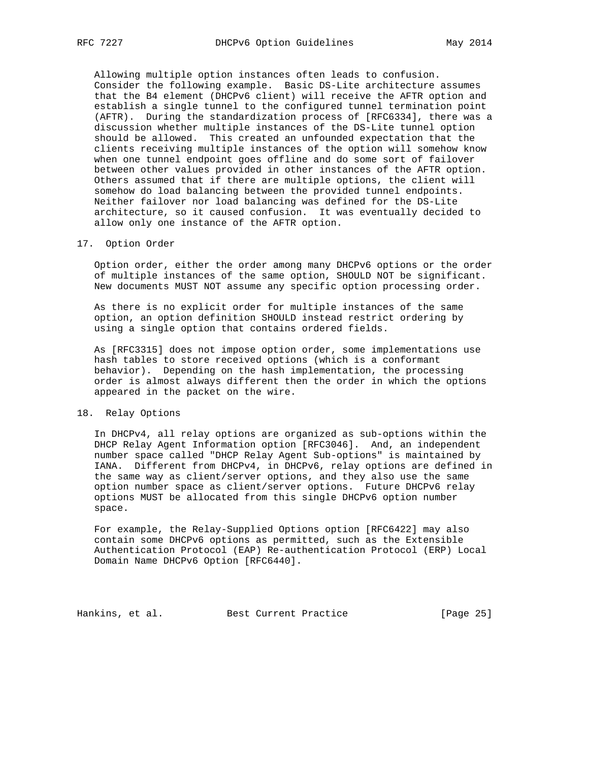Allowing multiple option instances often leads to confusion. Consider the following example. Basic DS-Lite architecture assumes that the B4 element (DHCPv6 client) will receive the AFTR option and establish a single tunnel to the configured tunnel termination point (AFTR). During the standardization process of [RFC6334], there was a discussion whether multiple instances of the DS-Lite tunnel option should be allowed. This created an unfounded expectation that the clients receiving multiple instances of the option will somehow know when one tunnel endpoint goes offline and do some sort of failover between other values provided in other instances of the AFTR option. Others assumed that if there are multiple options, the client will somehow do load balancing between the provided tunnel endpoints. Neither failover nor load balancing was defined for the DS-Lite architecture, so it caused confusion. It was eventually decided to allow only one instance of the AFTR option.

#### 17. Option Order

 Option order, either the order among many DHCPv6 options or the order of multiple instances of the same option, SHOULD NOT be significant. New documents MUST NOT assume any specific option processing order.

 As there is no explicit order for multiple instances of the same option, an option definition SHOULD instead restrict ordering by using a single option that contains ordered fields.

 As [RFC3315] does not impose option order, some implementations use hash tables to store received options (which is a conformant behavior). Depending on the hash implementation, the processing order is almost always different then the order in which the options appeared in the packet on the wire.

#### 18. Relay Options

 In DHCPv4, all relay options are organized as sub-options within the DHCP Relay Agent Information option [RFC3046]. And, an independent number space called "DHCP Relay Agent Sub-options" is maintained by IANA. Different from DHCPv4, in DHCPv6, relay options are defined in the same way as client/server options, and they also use the same option number space as client/server options. Future DHCPv6 relay options MUST be allocated from this single DHCPv6 option number space.

 For example, the Relay-Supplied Options option [RFC6422] may also contain some DHCPv6 options as permitted, such as the Extensible Authentication Protocol (EAP) Re-authentication Protocol (ERP) Local Domain Name DHCPv6 Option [RFC6440].

Hankins, et al. Best Current Practice [Page 25]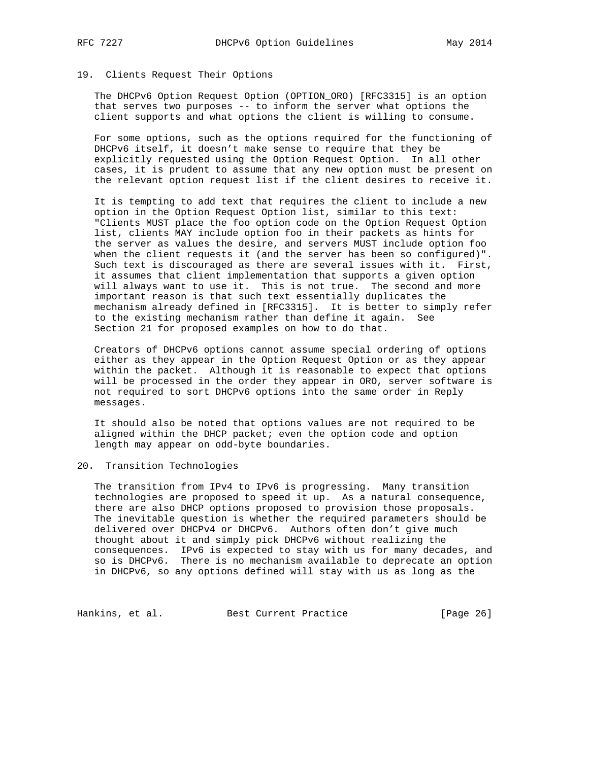## 19. Clients Request Their Options

 The DHCPv6 Option Request Option (OPTION\_ORO) [RFC3315] is an option that serves two purposes -- to inform the server what options the client supports and what options the client is willing to consume.

 For some options, such as the options required for the functioning of DHCPv6 itself, it doesn't make sense to require that they be explicitly requested using the Option Request Option. In all other cases, it is prudent to assume that any new option must be present on the relevant option request list if the client desires to receive it.

 It is tempting to add text that requires the client to include a new option in the Option Request Option list, similar to this text: "Clients MUST place the foo option code on the Option Request Option list, clients MAY include option foo in their packets as hints for the server as values the desire, and servers MUST include option foo when the client requests it (and the server has been so configured)". Such text is discouraged as there are several issues with it. First, it assumes that client implementation that supports a given option will always want to use it. This is not true. The second and more important reason is that such text essentially duplicates the mechanism already defined in [RFC3315]. It is better to simply refer to the existing mechanism rather than define it again. See Section 21 for proposed examples on how to do that.

 Creators of DHCPv6 options cannot assume special ordering of options either as they appear in the Option Request Option or as they appear within the packet. Although it is reasonable to expect that options will be processed in the order they appear in ORO, server software is not required to sort DHCPv6 options into the same order in Reply messages.

 It should also be noted that options values are not required to be aligned within the DHCP packet; even the option code and option length may appear on odd-byte boundaries.

#### 20. Transition Technologies

 The transition from IPv4 to IPv6 is progressing. Many transition technologies are proposed to speed it up. As a natural consequence, there are also DHCP options proposed to provision those proposals. The inevitable question is whether the required parameters should be delivered over DHCPv4 or DHCPv6. Authors often don't give much thought about it and simply pick DHCPv6 without realizing the consequences. IPv6 is expected to stay with us for many decades, and so is DHCPv6. There is no mechanism available to deprecate an option in DHCPv6, so any options defined will stay with us as long as the

Hankins, et al. Best Current Practice [Page 26]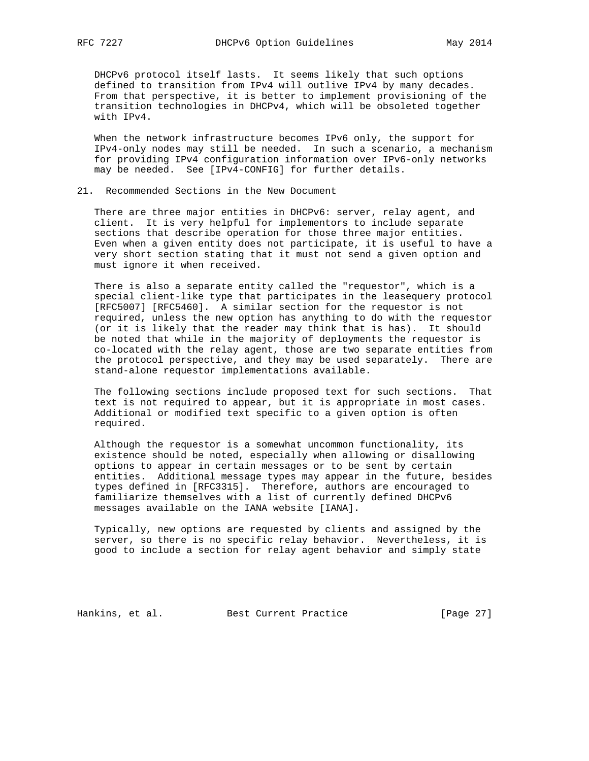DHCPv6 protocol itself lasts. It seems likely that such options defined to transition from IPv4 will outlive IPv4 by many decades. From that perspective, it is better to implement provisioning of the transition technologies in DHCPv4, which will be obsoleted together with IPv4.

 When the network infrastructure becomes IPv6 only, the support for IPv4-only nodes may still be needed. In such a scenario, a mechanism for providing IPv4 configuration information over IPv6-only networks may be needed. See [IPv4-CONFIG] for further details.

#### 21. Recommended Sections in the New Document

 There are three major entities in DHCPv6: server, relay agent, and client. It is very helpful for implementors to include separate sections that describe operation for those three major entities. Even when a given entity does not participate, it is useful to have a very short section stating that it must not send a given option and must ignore it when received.

 There is also a separate entity called the "requestor", which is a special client-like type that participates in the leasequery protocol [RFC5007] [RFC5460]. A similar section for the requestor is not required, unless the new option has anything to do with the requestor (or it is likely that the reader may think that is has). It should be noted that while in the majority of deployments the requestor is co-located with the relay agent, those are two separate entities from the protocol perspective, and they may be used separately. There are stand-alone requestor implementations available.

 The following sections include proposed text for such sections. That text is not required to appear, but it is appropriate in most cases. Additional or modified text specific to a given option is often required.

 Although the requestor is a somewhat uncommon functionality, its existence should be noted, especially when allowing or disallowing options to appear in certain messages or to be sent by certain entities. Additional message types may appear in the future, besides types defined in [RFC3315]. Therefore, authors are encouraged to familiarize themselves with a list of currently defined DHCPv6 messages available on the IANA website [IANA].

 Typically, new options are requested by clients and assigned by the server, so there is no specific relay behavior. Nevertheless, it is good to include a section for relay agent behavior and simply state

Hankins, et al. Best Current Practice [Page 27]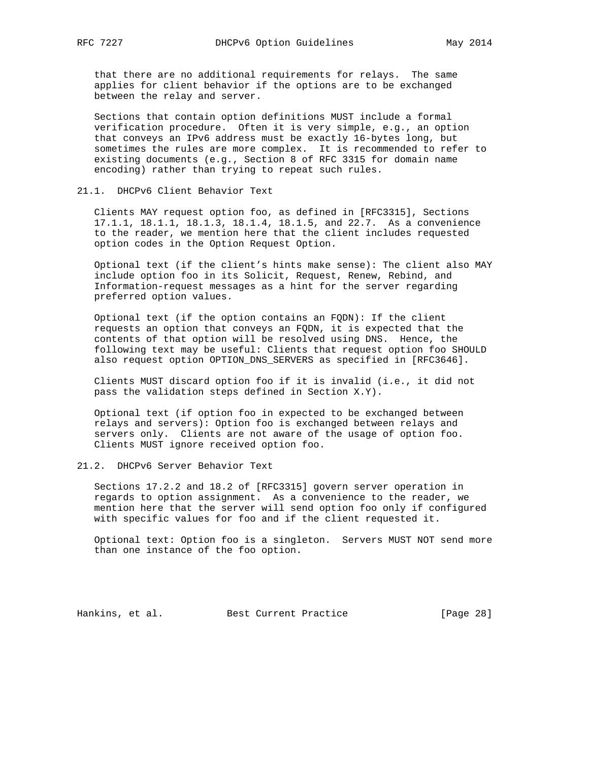that there are no additional requirements for relays. The same applies for client behavior if the options are to be exchanged between the relay and server.

 Sections that contain option definitions MUST include a formal verification procedure. Often it is very simple, e.g., an option that conveys an IPv6 address must be exactly 16-bytes long, but sometimes the rules are more complex. It is recommended to refer to existing documents (e.g., Section 8 of RFC 3315 for domain name encoding) rather than trying to repeat such rules.

#### 21.1. DHCPv6 Client Behavior Text

 Clients MAY request option foo, as defined in [RFC3315], Sections 17.1.1, 18.1.1, 18.1.3, 18.1.4, 18.1.5, and 22.7. As a convenience to the reader, we mention here that the client includes requested option codes in the Option Request Option.

 Optional text (if the client's hints make sense): The client also MAY include option foo in its Solicit, Request, Renew, Rebind, and Information-request messages as a hint for the server regarding preferred option values.

 Optional text (if the option contains an FQDN): If the client requests an option that conveys an FQDN, it is expected that the contents of that option will be resolved using DNS. Hence, the following text may be useful: Clients that request option foo SHOULD also request option OPTION\_DNS\_SERVERS as specified in [RFC3646].

 Clients MUST discard option foo if it is invalid (i.e., it did not pass the validation steps defined in Section X.Y).

 Optional text (if option foo in expected to be exchanged between relays and servers): Option foo is exchanged between relays and servers only. Clients are not aware of the usage of option foo. Clients MUST ignore received option foo.

#### 21.2. DHCPv6 Server Behavior Text

 Sections 17.2.2 and 18.2 of [RFC3315] govern server operation in regards to option assignment. As a convenience to the reader, we mention here that the server will send option foo only if configured with specific values for foo and if the client requested it.

 Optional text: Option foo is a singleton. Servers MUST NOT send more than one instance of the foo option.

Hankins, et al. Best Current Practice [Page 28]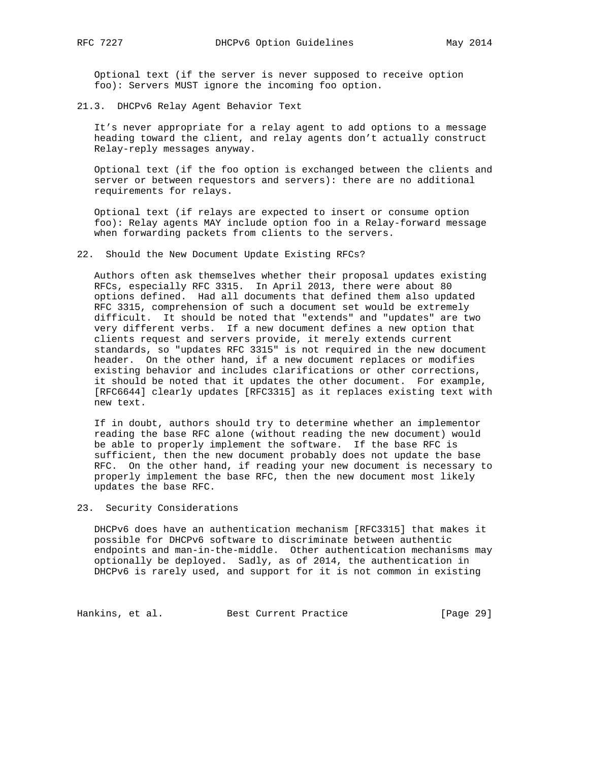Optional text (if the server is never supposed to receive option foo): Servers MUST ignore the incoming foo option.

21.3. DHCPv6 Relay Agent Behavior Text

 It's never appropriate for a relay agent to add options to a message heading toward the client, and relay agents don't actually construct Relay-reply messages anyway.

 Optional text (if the foo option is exchanged between the clients and server or between requestors and servers): there are no additional requirements for relays.

 Optional text (if relays are expected to insert or consume option foo): Relay agents MAY include option foo in a Relay-forward message when forwarding packets from clients to the servers.

22. Should the New Document Update Existing RFCs?

 Authors often ask themselves whether their proposal updates existing RFCs, especially RFC 3315. In April 2013, there were about 80 options defined. Had all documents that defined them also updated RFC 3315, comprehension of such a document set would be extremely difficult. It should be noted that "extends" and "updates" are two very different verbs. If a new document defines a new option that clients request and servers provide, it merely extends current standards, so "updates RFC 3315" is not required in the new document header. On the other hand, if a new document replaces or modifies existing behavior and includes clarifications or other corrections, it should be noted that it updates the other document. For example, [RFC6644] clearly updates [RFC3315] as it replaces existing text with new text.

 If in doubt, authors should try to determine whether an implementor reading the base RFC alone (without reading the new document) would be able to properly implement the software. If the base RFC is sufficient, then the new document probably does not update the base RFC. On the other hand, if reading your new document is necessary to properly implement the base RFC, then the new document most likely updates the base RFC.

23. Security Considerations

 DHCPv6 does have an authentication mechanism [RFC3315] that makes it possible for DHCPv6 software to discriminate between authentic endpoints and man-in-the-middle. Other authentication mechanisms may optionally be deployed. Sadly, as of 2014, the authentication in DHCPv6 is rarely used, and support for it is not common in existing

Hankins, et al. Best Current Practice [Page 29]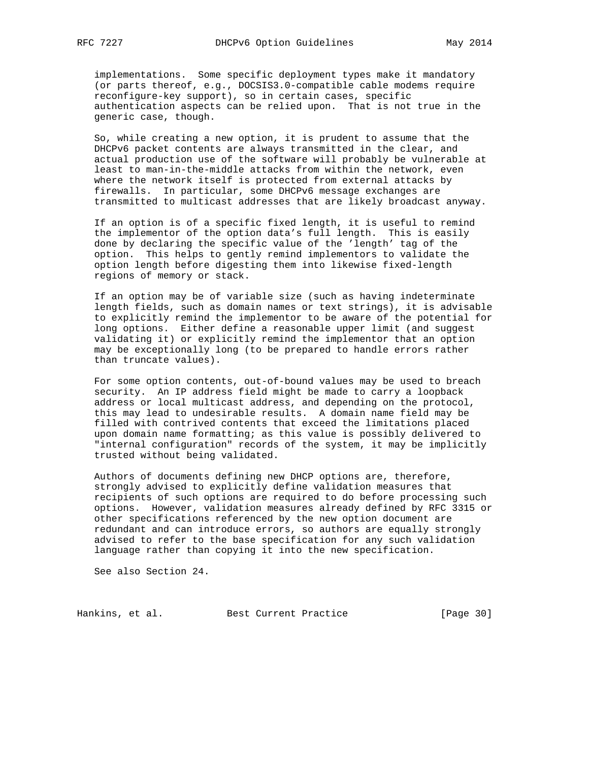implementations. Some specific deployment types make it mandatory (or parts thereof, e.g., DOCSIS3.0-compatible cable modems require reconfigure-key support), so in certain cases, specific authentication aspects can be relied upon. That is not true in the generic case, though.

 So, while creating a new option, it is prudent to assume that the DHCPv6 packet contents are always transmitted in the clear, and actual production use of the software will probably be vulnerable at least to man-in-the-middle attacks from within the network, even where the network itself is protected from external attacks by firewalls. In particular, some DHCPv6 message exchanges are transmitted to multicast addresses that are likely broadcast anyway.

 If an option is of a specific fixed length, it is useful to remind the implementor of the option data's full length. This is easily done by declaring the specific value of the 'length' tag of the option. This helps to gently remind implementors to validate the option length before digesting them into likewise fixed-length regions of memory or stack.

 If an option may be of variable size (such as having indeterminate length fields, such as domain names or text strings), it is advisable to explicitly remind the implementor to be aware of the potential for long options. Either define a reasonable upper limit (and suggest validating it) or explicitly remind the implementor that an option may be exceptionally long (to be prepared to handle errors rather than truncate values).

 For some option contents, out-of-bound values may be used to breach security. An IP address field might be made to carry a loopback address or local multicast address, and depending on the protocol, this may lead to undesirable results. A domain name field may be filled with contrived contents that exceed the limitations placed upon domain name formatting; as this value is possibly delivered to "internal configuration" records of the system, it may be implicitly trusted without being validated.

 Authors of documents defining new DHCP options are, therefore, strongly advised to explicitly define validation measures that recipients of such options are required to do before processing such options. However, validation measures already defined by RFC 3315 or other specifications referenced by the new option document are redundant and can introduce errors, so authors are equally strongly advised to refer to the base specification for any such validation language rather than copying it into the new specification.

See also Section 24.

Hankins, et al. Best Current Practice [Page 30]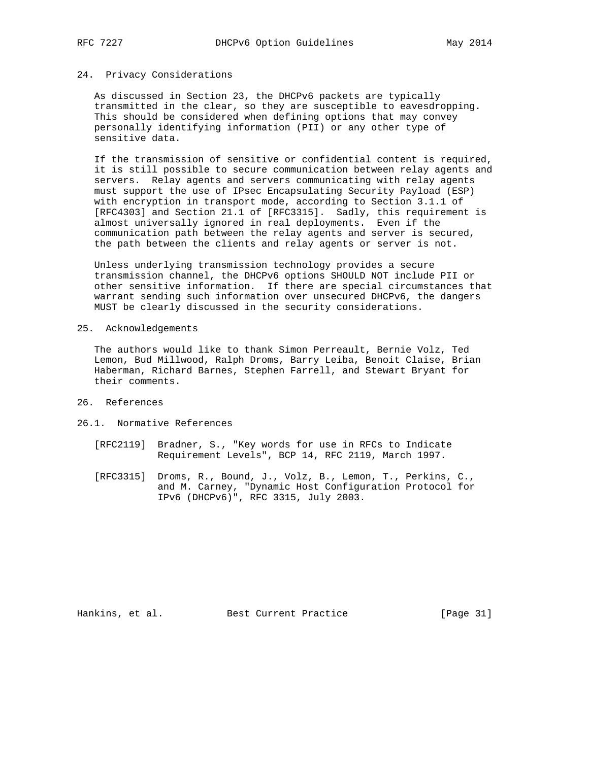# 24. Privacy Considerations

 As discussed in Section 23, the DHCPv6 packets are typically transmitted in the clear, so they are susceptible to eavesdropping. This should be considered when defining options that may convey personally identifying information (PII) or any other type of sensitive data.

 If the transmission of sensitive or confidential content is required, it is still possible to secure communication between relay agents and servers. Relay agents and servers communicating with relay agents must support the use of IPsec Encapsulating Security Payload (ESP) with encryption in transport mode, according to Section 3.1.1 of [RFC4303] and Section 21.1 of [RFC3315]. Sadly, this requirement is almost universally ignored in real deployments. Even if the communication path between the relay agents and server is secured, the path between the clients and relay agents or server is not.

 Unless underlying transmission technology provides a secure transmission channel, the DHCPv6 options SHOULD NOT include PII or other sensitive information. If there are special circumstances that warrant sending such information over unsecured DHCPv6, the dangers MUST be clearly discussed in the security considerations.

25. Acknowledgements

 The authors would like to thank Simon Perreault, Bernie Volz, Ted Lemon, Bud Millwood, Ralph Droms, Barry Leiba, Benoit Claise, Brian Haberman, Richard Barnes, Stephen Farrell, and Stewart Bryant for their comments.

- 26. References
- 26.1. Normative References
	- [RFC2119] Bradner, S., "Key words for use in RFCs to Indicate Requirement Levels", BCP 14, RFC 2119, March 1997.
	- [RFC3315] Droms, R., Bound, J., Volz, B., Lemon, T., Perkins, C., and M. Carney, "Dynamic Host Configuration Protocol for IPv6 (DHCPv6)", RFC 3315, July 2003.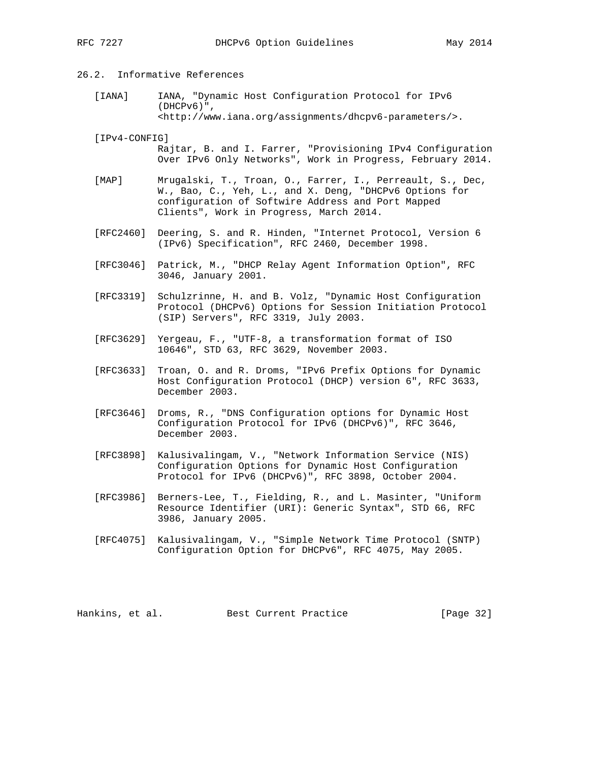# 26.2. Informative References

- [IANA] IANA, "Dynamic Host Configuration Protocol for IPv6 (DHCPv6)", <http://www.iana.org/assignments/dhcpv6-parameters/>.
- [IPv4-CONFIG] Rajtar, B. and I. Farrer, "Provisioning IPv4 Configuration Over IPv6 Only Networks", Work in Progress, February 2014.
- [MAP] Mrugalski, T., Troan, O., Farrer, I., Perreault, S., Dec, W., Bao, C., Yeh, L., and X. Deng, "DHCPv6 Options for configuration of Softwire Address and Port Mapped Clients", Work in Progress, March 2014.
- [RFC2460] Deering, S. and R. Hinden, "Internet Protocol, Version 6 (IPv6) Specification", RFC 2460, December 1998.
- [RFC3046] Patrick, M., "DHCP Relay Agent Information Option", RFC 3046, January 2001.
- [RFC3319] Schulzrinne, H. and B. Volz, "Dynamic Host Configuration Protocol (DHCPv6) Options for Session Initiation Protocol (SIP) Servers", RFC 3319, July 2003.
- [RFC3629] Yergeau, F., "UTF-8, a transformation format of ISO 10646", STD 63, RFC 3629, November 2003.
- [RFC3633] Troan, O. and R. Droms, "IPv6 Prefix Options for Dynamic Host Configuration Protocol (DHCP) version 6", RFC 3633, December 2003.
- [RFC3646] Droms, R., "DNS Configuration options for Dynamic Host Configuration Protocol for IPv6 (DHCPv6)", RFC 3646, December 2003.
- [RFC3898] Kalusivalingam, V., "Network Information Service (NIS) Configuration Options for Dynamic Host Configuration Protocol for IPv6 (DHCPv6)", RFC 3898, October 2004.
- [RFC3986] Berners-Lee, T., Fielding, R., and L. Masinter, "Uniform Resource Identifier (URI): Generic Syntax", STD 66, RFC 3986, January 2005.
- [RFC4075] Kalusivalingam, V., "Simple Network Time Protocol (SNTP) Configuration Option for DHCPv6", RFC 4075, May 2005.

Hankins, et al. Best Current Practice [Page 32]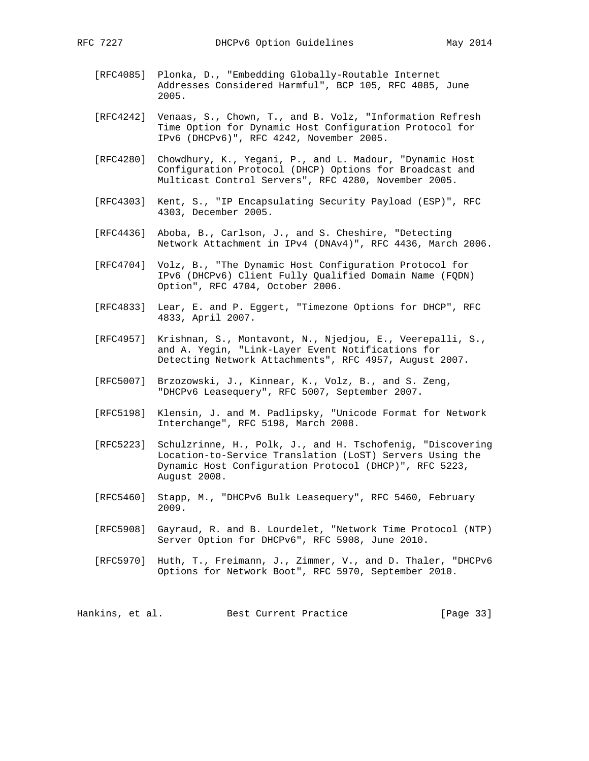- [RFC4085] Plonka, D., "Embedding Globally-Routable Internet Addresses Considered Harmful", BCP 105, RFC 4085, June 2005.
- [RFC4242] Venaas, S., Chown, T., and B. Volz, "Information Refresh Time Option for Dynamic Host Configuration Protocol for IPv6 (DHCPv6)", RFC 4242, November 2005.
- [RFC4280] Chowdhury, K., Yegani, P., and L. Madour, "Dynamic Host Configuration Protocol (DHCP) Options for Broadcast and Multicast Control Servers", RFC 4280, November 2005.
- [RFC4303] Kent, S., "IP Encapsulating Security Payload (ESP)", RFC 4303, December 2005.
- [RFC4436] Aboba, B., Carlson, J., and S. Cheshire, "Detecting Network Attachment in IPv4 (DNAv4)", RFC 4436, March 2006.
- [RFC4704] Volz, B., "The Dynamic Host Configuration Protocol for IPv6 (DHCPv6) Client Fully Qualified Domain Name (FQDN) Option", RFC 4704, October 2006.
- [RFC4833] Lear, E. and P. Eggert, "Timezone Options for DHCP", RFC 4833, April 2007.
- [RFC4957] Krishnan, S., Montavont, N., Njedjou, E., Veerepalli, S., and A. Yegin, "Link-Layer Event Notifications for Detecting Network Attachments", RFC 4957, August 2007.
- [RFC5007] Brzozowski, J., Kinnear, K., Volz, B., and S. Zeng, "DHCPv6 Leasequery", RFC 5007, September 2007.
- [RFC5198] Klensin, J. and M. Padlipsky, "Unicode Format for Network Interchange", RFC 5198, March 2008.
- [RFC5223] Schulzrinne, H., Polk, J., and H. Tschofenig, "Discovering Location-to-Service Translation (LoST) Servers Using the Dynamic Host Configuration Protocol (DHCP)", RFC 5223, August 2008.
- [RFC5460] Stapp, M., "DHCPv6 Bulk Leasequery", RFC 5460, February 2009.
- [RFC5908] Gayraud, R. and B. Lourdelet, "Network Time Protocol (NTP) Server Option for DHCPv6", RFC 5908, June 2010.
- [RFC5970] Huth, T., Freimann, J., Zimmer, V., and D. Thaler, "DHCPv6 Options for Network Boot", RFC 5970, September 2010.

Hankins, et al. Best Current Practice [Page 33]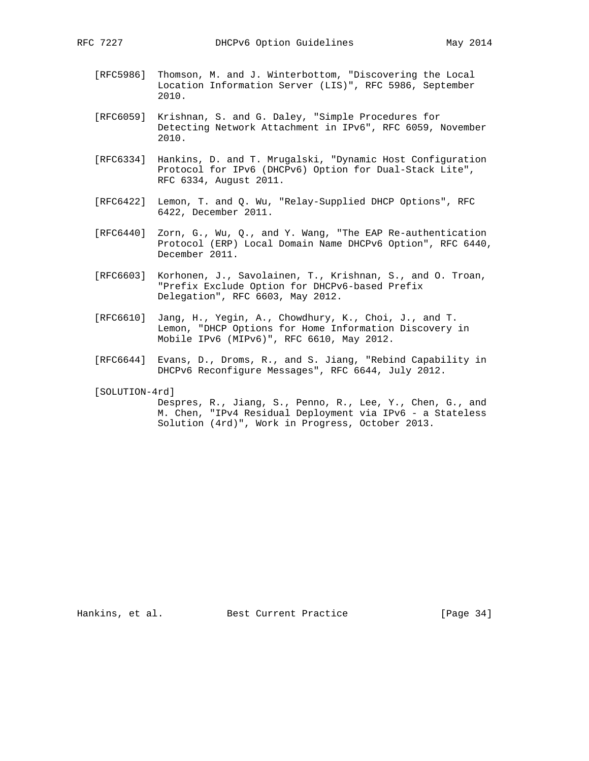- [RFC5986] Thomson, M. and J. Winterbottom, "Discovering the Local Location Information Server (LIS)", RFC 5986, September 2010.
- [RFC6059] Krishnan, S. and G. Daley, "Simple Procedures for Detecting Network Attachment in IPv6", RFC 6059, November 2010.
- [RFC6334] Hankins, D. and T. Mrugalski, "Dynamic Host Configuration Protocol for IPv6 (DHCPv6) Option for Dual-Stack Lite", RFC 6334, August 2011.
- [RFC6422] Lemon, T. and Q. Wu, "Relay-Supplied DHCP Options", RFC 6422, December 2011.
- [RFC6440] Zorn, G., Wu, Q., and Y. Wang, "The EAP Re-authentication Protocol (ERP) Local Domain Name DHCPv6 Option", RFC 6440, December 2011.
- [RFC6603] Korhonen, J., Savolainen, T., Krishnan, S., and O. Troan, "Prefix Exclude Option for DHCPv6-based Prefix Delegation", RFC 6603, May 2012.
- [RFC6610] Jang, H., Yegin, A., Chowdhury, K., Choi, J., and T. Lemon, "DHCP Options for Home Information Discovery in Mobile IPv6 (MIPv6)", RFC 6610, May 2012.
- [RFC6644] Evans, D., Droms, R., and S. Jiang, "Rebind Capability in DHCPv6 Reconfigure Messages", RFC 6644, July 2012.
- [SOLUTION-4rd]

 Despres, R., Jiang, S., Penno, R., Lee, Y., Chen, G., and M. Chen, "IPv4 Residual Deployment via IPv6 - a Stateless Solution (4rd)", Work in Progress, October 2013.

Hankins, et al. Best Current Practice [Page 34]